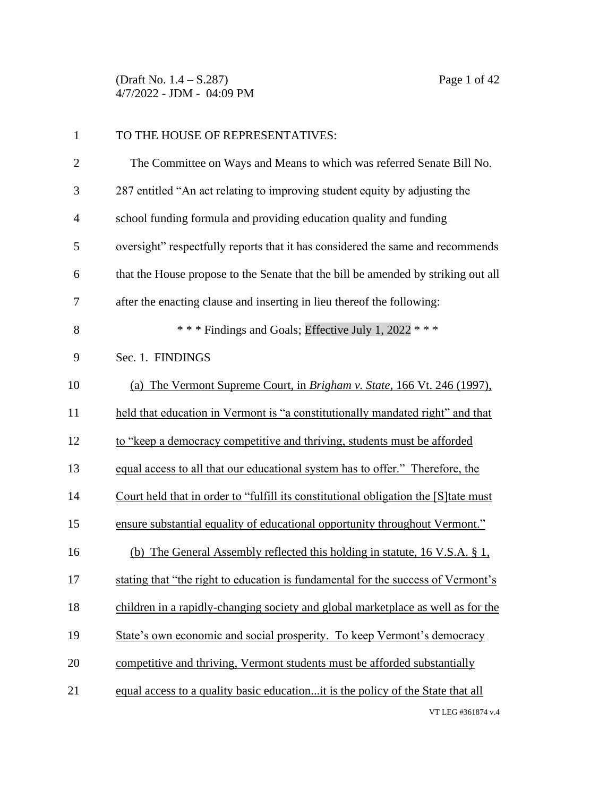(Draft No. 1.4 – S.287) Page 1 of 42 4/7/2022 - JDM - 04:09 PM

| $\mathbf{1}$   | TO THE HOUSE OF REPRESENTATIVES:                                                     |
|----------------|--------------------------------------------------------------------------------------|
| $\overline{2}$ | The Committee on Ways and Means to which was referred Senate Bill No.                |
| 3              | 287 entitled "An act relating to improving student equity by adjusting the           |
| $\overline{4}$ | school funding formula and providing education quality and funding                   |
| 5              | oversight" respectfully reports that it has considered the same and recommends       |
| 6              | that the House propose to the Senate that the bill be amended by striking out all    |
| 7              | after the enacting clause and inserting in lieu thereof the following:               |
| 8              | *** Findings and Goals; Effective July 1, 2022 ***                                   |
| 9              | Sec. 1. FINDINGS                                                                     |
| 10             | (a) The Vermont Supreme Court, in Brigham v. State, 166 Vt. 246 (1997),              |
| 11             | held that education in Vermont is "a constitutionally mandated right" and that       |
| 12             | to "keep a democracy competitive and thriving, students must be afforded             |
| 13             | equal access to all that our educational system has to offer." Therefore, the        |
| 14             | Court held that in order to "fulfill its constitutional obligation the [S] tate must |
| 15             | ensure substantial equality of educational opportunity throughout Vermont."          |
| 16             | (b) The General Assembly reflected this holding in statute, 16 V.S.A. § 1,           |
| 17             | stating that "the right to education is fundamental for the success of Vermont's     |
| 18             | children in a rapidly-changing society and global marketplace as well as for the     |
| 19             | State's own economic and social prosperity. To keep Vermont's democracy              |
| 20             | competitive and thriving, Vermont students must be afforded substantially            |
| 21             | equal access to a quality basic educationit is the policy of the State that all      |
|                | VT LEG #361874 v.4                                                                   |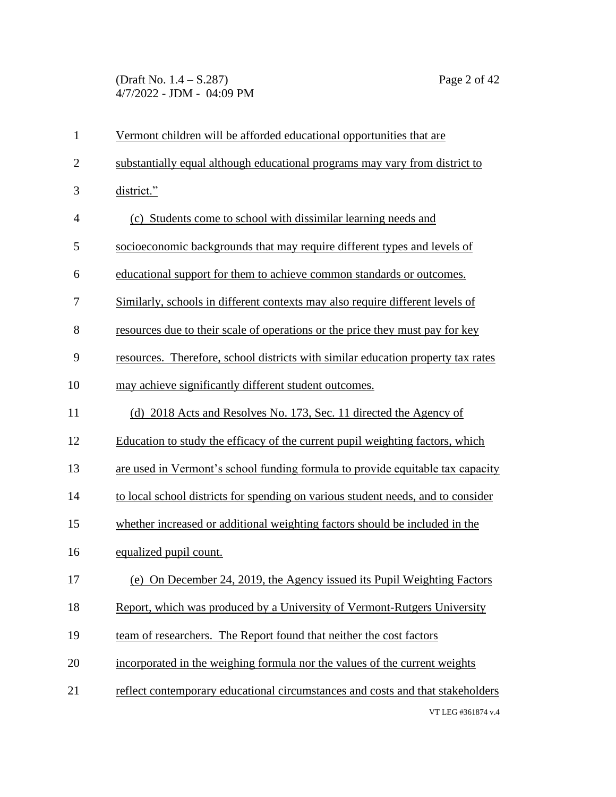(Draft No. 1.4 – S.287) Page 2 of 42 4/7/2022 - JDM - 04:09 PM

| $\mathbf{1}$   | Vermont children will be afforded educational opportunities that are             |
|----------------|----------------------------------------------------------------------------------|
| $\overline{2}$ | substantially equal although educational programs may vary from district to      |
| 3              | district."                                                                       |
| $\overline{4}$ | (c) Students come to school with dissimilar learning needs and                   |
| 5              | socioeconomic backgrounds that may require different types and levels of         |
| 6              | educational support for them to achieve common standards or outcomes.            |
| 7              | Similarly, schools in different contexts may also require different levels of    |
| 8              | resources due to their scale of operations or the price they must pay for key    |
| 9              | resources. Therefore, school districts with similar education property tax rates |
| 10             | may achieve significantly different student outcomes.                            |
| 11             | (d) 2018 Acts and Resolves No. 173, Sec. 11 directed the Agency of               |
| 12             | Education to study the efficacy of the current pupil weighting factors, which    |
| 13             | are used in Vermont's school funding formula to provide equitable tax capacity   |
| 14             | to local school districts for spending on various student needs, and to consider |
| 15             | whether increased or additional weighting factors should be included in the      |
| 16             | equalized pupil count.                                                           |
| 17             | (e) On December 24, 2019, the Agency issued its Pupil Weighting Factors          |
| 18             | Report, which was produced by a University of Vermont-Rutgers University         |
| 19             | team of researchers. The Report found that neither the cost factors              |
| 20             | incorporated in the weighing formula nor the values of the current weights       |
| 21             | reflect contemporary educational circumstances and costs and that stakeholders   |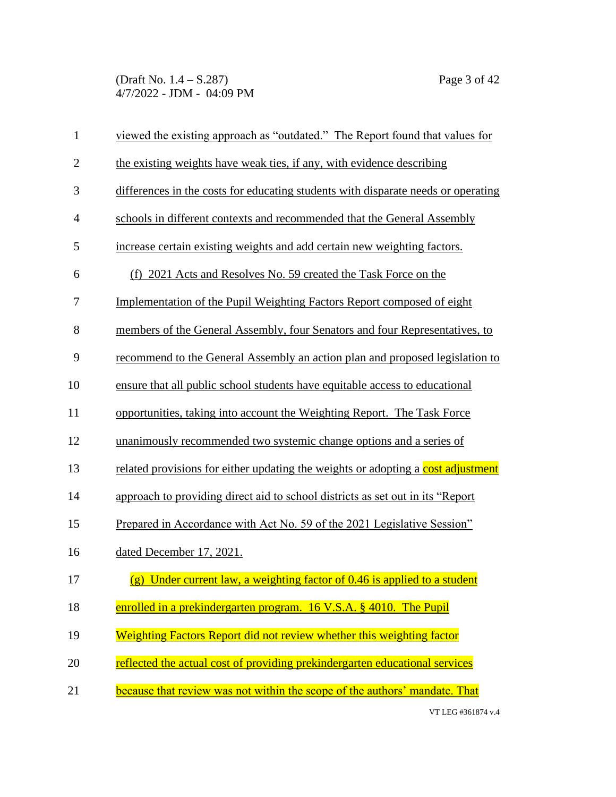(Draft No. 1.4 – S.287) Page 3 of 42 4/7/2022 - JDM - 04:09 PM

| $\mathbf{1}$   | viewed the existing approach as "outdated." The Report found that values for      |
|----------------|-----------------------------------------------------------------------------------|
| $\overline{2}$ | the existing weights have weak ties, if any, with evidence describing             |
| 3              | differences in the costs for educating students with disparate needs or operating |
| $\overline{4}$ | schools in different contexts and recommended that the General Assembly           |
| 5              | increase certain existing weights and add certain new weighting factors.          |
| 6              | (f) 2021 Acts and Resolves No. 59 created the Task Force on the                   |
| 7              | <u>Implementation of the Pupil Weighting Factors Report composed of eight</u>     |
| 8              | members of the General Assembly, four Senators and four Representatives, to       |
| 9              | recommend to the General Assembly an action plan and proposed legislation to      |
| 10             | ensure that all public school students have equitable access to educational       |
| 11             | opportunities, taking into account the Weighting Report. The Task Force           |
| 12             | unanimously recommended two systemic change options and a series of               |
| 13             | related provisions for either updating the weights or adopting a cost adjustment  |
| 14             | approach to providing direct aid to school districts as set out in its "Report"   |
| 15             | Prepared in Accordance with Act No. 59 of the 2021 Legislative Session"           |
| 16             | dated December 17, 2021.                                                          |
| 17             | (g) Under current law, a weighting factor of 0.46 is applied to a student         |
| 18             | enrolled in a prekindergarten program. 16 V.S.A. § 4010. The Pupil                |
| 19             | Weighting Factors Report did not review whether this weighting factor             |
| 20             | reflected the actual cost of providing prekindergarten educational services       |
| 21             | because that review was not within the scope of the authors' mandate. That        |
|                |                                                                                   |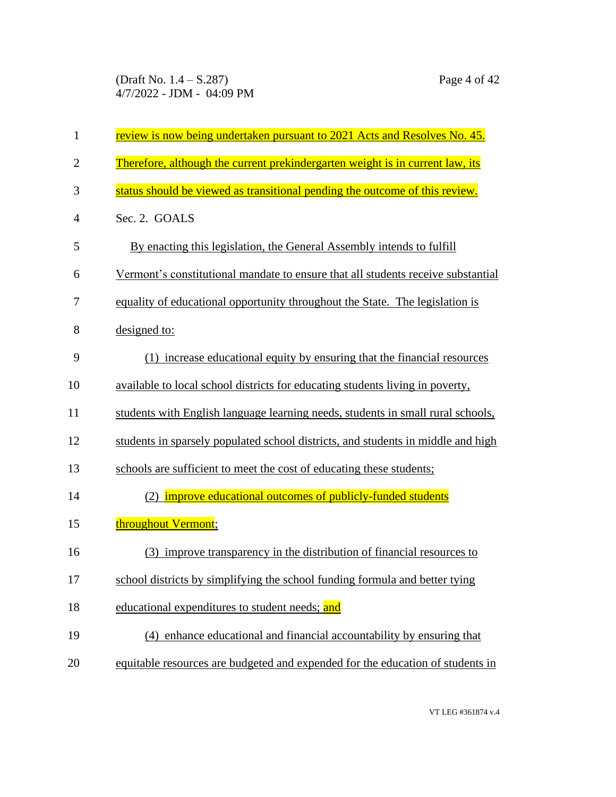(Draft No. 1.4 – S.287) Page 4 of 42 4/7/2022 - JDM - 04:09 PM

| $\mathbf{1}$   | review is now being undertaken pursuant to 2021 Acts and Resolves No. 45.        |
|----------------|----------------------------------------------------------------------------------|
| $\overline{2}$ | Therefore, although the current prekindergarten weight is in current law, its    |
| 3              | status should be viewed as transitional pending the outcome of this review.      |
| $\overline{4}$ | Sec. 2. GOALS                                                                    |
| 5              | By enacting this legislation, the General Assembly intends to fulfill            |
| 6              | Vermont's constitutional mandate to ensure that all students receive substantial |
| 7              | equality of educational opportunity throughout the State. The legislation is     |
| 8              | designed to:                                                                     |
| 9              | (1) increase educational equity by ensuring that the financial resources         |
| 10             | available to local school districts for educating students living in poverty,    |
| 11             | students with English language learning needs, students in small rural schools,  |
| 12             | students in sparsely populated school districts, and students in middle and high |
| 13             | schools are sufficient to meet the cost of educating these students;             |
| 14             | (2) <b>improve educational outcomes of publicly-funded students</b>              |
| 15             | throughout Vermont;                                                              |
| 16             | (3) improve transparency in the distribution of financial resources to           |
| 17             | school districts by simplifying the school funding formula and better tying      |
| 18             | educational expenditures to student needs; and                                   |
| 19             | (4) enhance educational and financial accountability by ensuring that            |
| 20             | equitable resources are budgeted and expended for the education of students in   |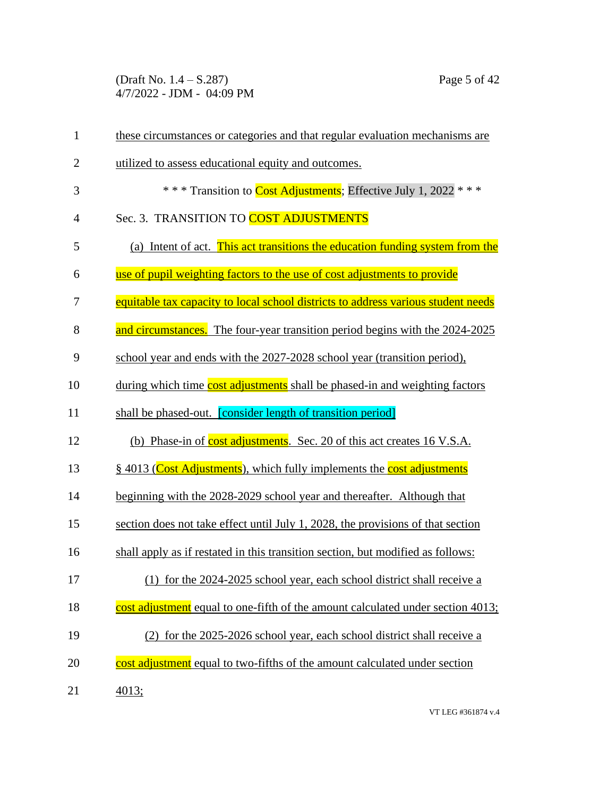(Draft No. 1.4 – S.287) Page 5 of 42 4/7/2022 - JDM - 04:09 PM

| $\mathbf{1}$   | these circumstances or categories and that regular evaluation mechanisms are      |
|----------------|-----------------------------------------------------------------------------------|
| $\overline{2}$ | utilized to assess educational equity and outcomes.                               |
| 3              | *** Transition to Cost Adjustments; Effective July 1, 2022 ***                    |
| $\overline{4}$ | Sec. 3. TRANSITION TO COST ADJUSTMENTS                                            |
| 5              | (a) Intent of act. This act transitions the education funding system from the     |
| 6              | use of pupil weighting factors to the use of cost adjustments to provide          |
| 7              | equitable tax capacity to local school districts to address various student needs |
| 8              | and circumstances. The four-year transition period begins with the 2024-2025      |
| 9              | school year and ends with the 2027-2028 school year (transition period),          |
| 10             | during which time cost adjustments shall be phased-in and weighting factors       |
| 11             | shall be phased-out. <b>[consider length of transition period]</b>                |
| 12             | (b) Phase-in of cost adjustments. Sec. 20 of this act creates 16 V.S.A.           |
| 13             | § 4013 (Cost Adjustments), which fully implements the cost adjustments            |
| 14             | beginning with the 2028-2029 school year and thereafter. Although that            |
| 15             | section does not take effect until July 1, 2028, the provisions of that section   |
| 16             | shall apply as if restated in this transition section, but modified as follows:   |
| 17             | (1) for the 2024-2025 school year, each school district shall receive a           |
| 18             | cost adjustment equal to one-fifth of the amount calculated under section 4013;   |
| 19             | (2) for the 2025-2026 school year, each school district shall receive a           |
| 20             | cost adjustment equal to two-fifths of the amount calculated under section        |
| 21             | 4013;                                                                             |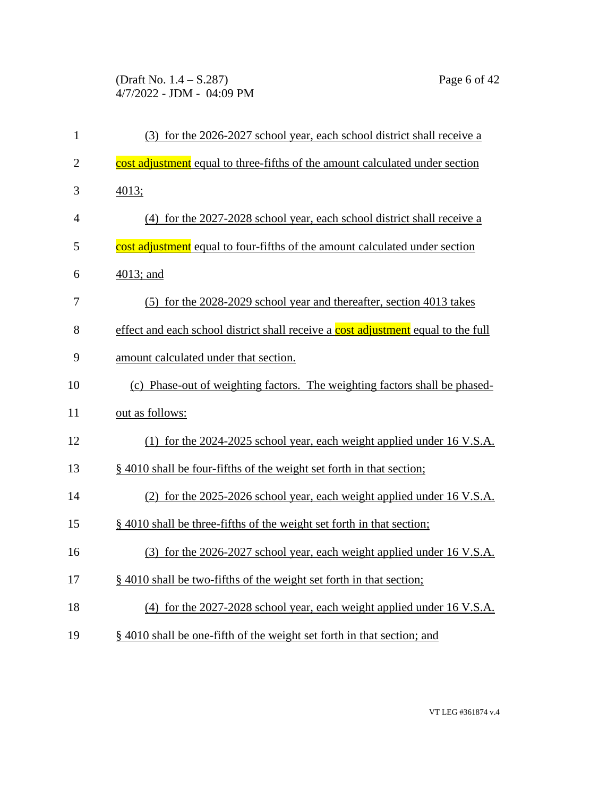(Draft No. 1.4 – S.287) Page 6 of 42 4/7/2022 - JDM - 04:09 PM

| $\mathbf{1}$   | (3) for the 2026-2027 school year, each school district shall receive a           |
|----------------|-----------------------------------------------------------------------------------|
| $\overline{2}$ | cost adjustment equal to three-fifths of the amount calculated under section      |
| 3              | 4013;                                                                             |
| $\overline{4}$ | (4) for the 2027-2028 school year, each school district shall receive a           |
| 5              | cost adjustment equal to four-fifths of the amount calculated under section       |
| 6              | 4013; and                                                                         |
| 7              | (5) for the 2028-2029 school year and thereafter, section 4013 takes              |
| 8              | effect and each school district shall receive a cost adjustment equal to the full |
| 9              | amount calculated under that section.                                             |
| 10             | (c) Phase-out of weighting factors. The weighting factors shall be phased-        |
| 11             | out as follows:                                                                   |
| 12             | (1) for the 2024-2025 school year, each weight applied under 16 V.S.A.            |
| 13             | § 4010 shall be four-fifths of the weight set forth in that section;              |
| 14             | (2) for the 2025-2026 school year, each weight applied under 16 V.S.A.            |
| 15             | § 4010 shall be three-fifths of the weight set forth in that section;             |
| 16             | (3) for the 2026-2027 school year, each weight applied under 16 V.S.A.            |
| 17             | § 4010 shall be two-fifths of the weight set forth in that section;               |
| 18             | (4) for the 2027-2028 school year, each weight applied under 16 V.S.A.            |
| 19             | § 4010 shall be one-fifth of the weight set forth in that section; and            |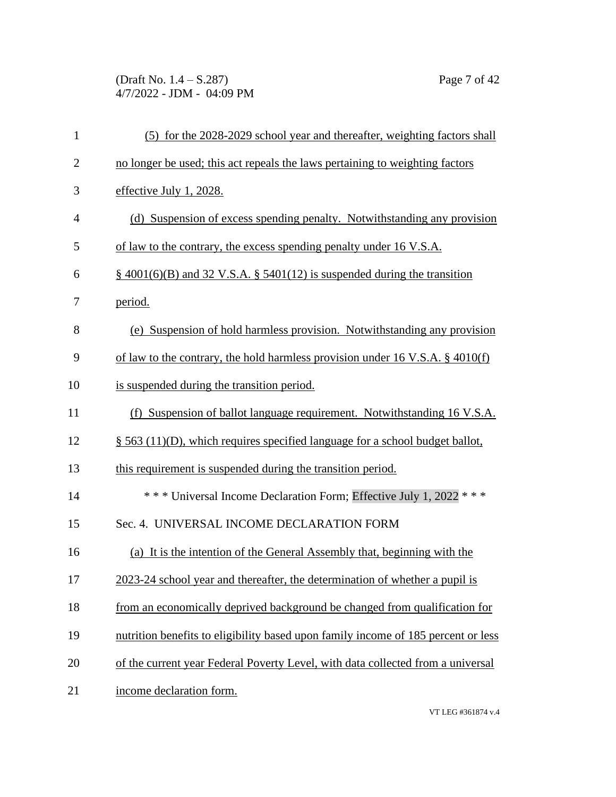(Draft No. 1.4 – S.287) Page 7 of 42 4/7/2022 - JDM - 04:09 PM

| $\mathbf{1}$   | (5) for the 2028-2029 school year and thereafter, weighting factors shall         |
|----------------|-----------------------------------------------------------------------------------|
| $\overline{2}$ | no longer be used; this act repeals the laws pertaining to weighting factors      |
| 3              | effective July 1, 2028.                                                           |
| $\overline{4}$ | (d) Suspension of excess spending penalty. Notwithstanding any provision          |
| 5              | of law to the contrary, the excess spending penalty under 16 V.S.A.               |
| 6              | $\S$ 4001(6)(B) and 32 V.S.A. § 5401(12) is suspended during the transition       |
| 7              | period.                                                                           |
| 8              | (e) Suspension of hold harmless provision. Notwithstanding any provision          |
| 9              | of law to the contrary, the hold harmless provision under 16 V.S.A. $\S$ 4010(f)  |
| 10             | is suspended during the transition period.                                        |
| 11             | (f) Suspension of ballot language requirement. Notwithstanding 16 V.S.A.          |
| 12             | $\S$ 563 (11)(D), which requires specified language for a school budget ballot,   |
| 13             | this requirement is suspended during the transition period.                       |
| 14             | *** Universal Income Declaration Form; Effective July 1, 2022 ***                 |
| 15             | Sec. 4. UNIVERSAL INCOME DECLARATION FORM                                         |
| 16             | (a) It is the intention of the General Assembly that, beginning with the          |
| 17             | 2023-24 school year and thereafter, the determination of whether a pupil is       |
| 18             | from an economically deprived background be changed from qualification for        |
| 19             | nutrition benefits to eligibility based upon family income of 185 percent or less |
| 20             | of the current year Federal Poverty Level, with data collected from a universal   |
| 21             | income declaration form.                                                          |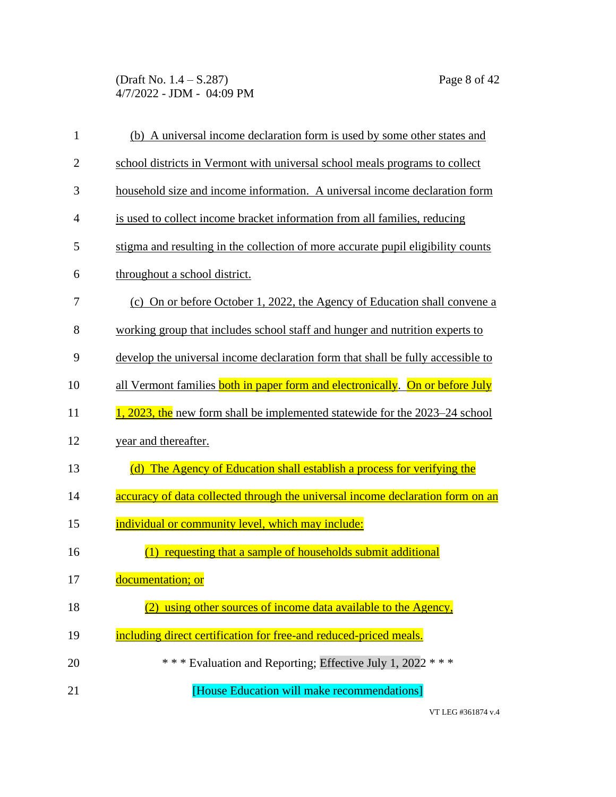(Draft No. 1.4 – S.287) Page 8 of 42 4/7/2022 - JDM - 04:09 PM

| $\mathbf{1}$   | (b) A universal income declaration form is used by some other states and         |
|----------------|----------------------------------------------------------------------------------|
| $\overline{2}$ | school districts in Vermont with universal school meals programs to collect      |
| 3              | household size and income information. A universal income declaration form       |
| $\overline{4}$ | is used to collect income bracket information from all families, reducing        |
| 5              | stigma and resulting in the collection of more accurate pupil eligibility counts |
| 6              | throughout a school district.                                                    |
| 7              | (c) On or before October 1, 2022, the Agency of Education shall convene a        |
| 8              | working group that includes school staff and hunger and nutrition experts to     |
| 9              | develop the universal income declaration form that shall be fully accessible to  |
| 10             | all Vermont families both in paper form and electronically. On or before July    |
| 11             | 1, 2023, the new form shall be implemented statewide for the 2023–24 school      |
| 12             | year and thereafter.                                                             |
| 13             | (d) The Agency of Education shall establish a process for verifying the          |
| 14             | accuracy of data collected through the universal income declaration form on an   |
| 15             | individual or community level, which may include:                                |
| 16             | (1) requesting that a sample of households submit additional                     |
| 17             | documentation; or                                                                |
| 18             | using other sources of income data available to the Agency,                      |
| 19             | including direct certification for free-and reduced-priced meals.                |
| 20             | *** Evaluation and Reporting; Effective July 1, 2022 ***                         |
| 21             | [House Education will make recommendations]                                      |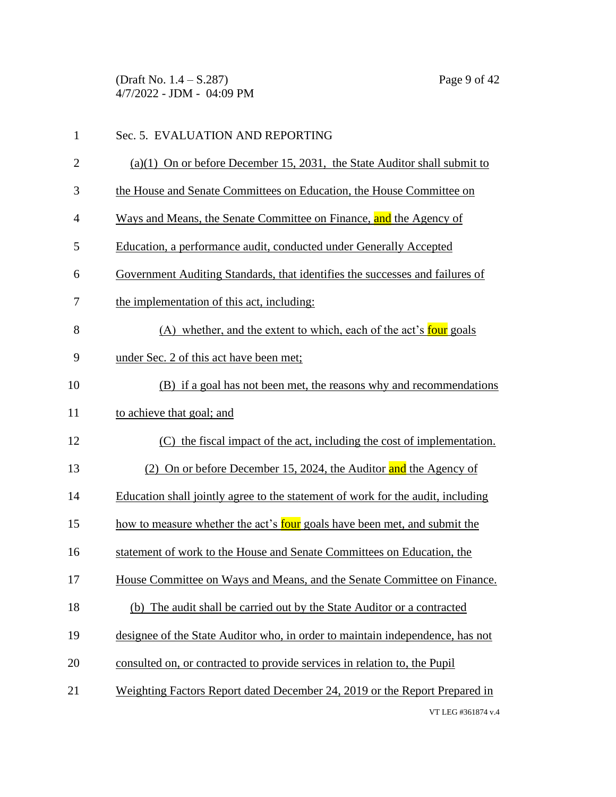(Draft No. 1.4 – S.287) Page 9 of 42 4/7/2022 - JDM - 04:09 PM

| $\mathbf{1}$ | Sec. 5. EVALUATION AND REPORTING                                                |
|--------------|---------------------------------------------------------------------------------|
| $\mathbf{2}$ | $(a)(1)$ On or before December 15, 2031, the State Auditor shall submit to      |
| 3            | the House and Senate Committees on Education, the House Committee on            |
| 4            | Ways and Means, the Senate Committee on Finance, and the Agency of              |
| 5            | Education, a performance audit, conducted under Generally Accepted              |
| 6            | Government Auditing Standards, that identifies the successes and failures of    |
| 7            | the implementation of this act, including:                                      |
| 8            | (A) whether, and the extent to which, each of the act's four goals              |
| 9            | under Sec. 2 of this act have been met;                                         |
| 10           | (B) if a goal has not been met, the reasons why and recommendations             |
| 11           | to achieve that goal; and                                                       |
| 12           | (C) the fiscal impact of the act, including the cost of implementation.         |
| 13           | (2) On or before December 15, 2024, the Auditor and the Agency of               |
| 14           | Education shall jointly agree to the statement of work for the audit, including |
| 15           | how to measure whether the act's four goals have been met, and submit the       |
| 16           | statement of work to the House and Senate Committees on Education, the          |
| 17           | House Committee on Ways and Means, and the Senate Committee on Finance.         |
| 18           | (b) The audit shall be carried out by the State Auditor or a contracted         |
| 19           | designee of the State Auditor who, in order to maintain independence, has not   |
| 20           | consulted on, or contracted to provide services in relation to, the Pupil       |
| 21           | Weighting Factors Report dated December 24, 2019 or the Report Prepared in      |
|              | VT LEG #361874 v.4                                                              |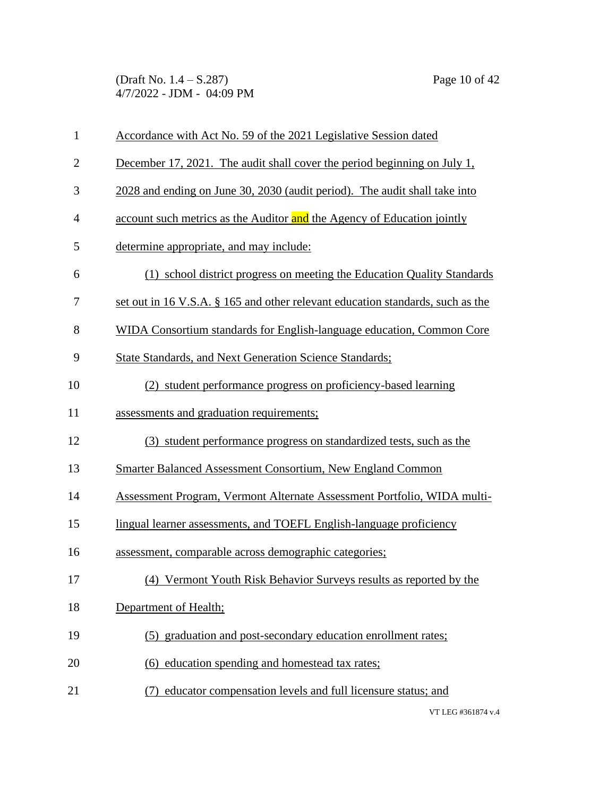(Draft No. 1.4 – S.287) Page 10 of 42 4/7/2022 - JDM - 04:09 PM

| $\mathbf{1}$   | Accordance with Act No. 59 of the 2021 Legislative Session dated               |
|----------------|--------------------------------------------------------------------------------|
| $\overline{2}$ | December 17, 2021. The audit shall cover the period beginning on July 1,       |
| 3              | 2028 and ending on June 30, 2030 (audit period). The audit shall take into     |
| $\overline{4}$ | account such metrics as the Auditor and the Agency of Education jointly        |
| 5              | determine appropriate, and may include:                                        |
| 6              | (1) school district progress on meeting the Education Quality Standards        |
| 7              | set out in 16 V.S.A. § 165 and other relevant education standards, such as the |
| 8              | WIDA Consortium standards for English-language education, Common Core          |
| 9              | <b>State Standards, and Next Generation Science Standards;</b>                 |
| 10             | (2) student performance progress on proficiency-based learning                 |
| 11             | assessments and graduation requirements;                                       |
| 12             | (3) student performance progress on standardized tests, such as the            |
| 13             | Smarter Balanced Assessment Consortium, New England Common                     |
| 14             | Assessment Program, Vermont Alternate Assessment Portfolio, WIDA multi-        |
| 15             | lingual learner assessments, and TOEFL English-language proficiency            |
| 16             | assessment, comparable across demographic categories;                          |
| 17             | (4) Vermont Youth Risk Behavior Surveys results as reported by the             |
| 18             | Department of Health;                                                          |
| 19             | (5) graduation and post-secondary education enrollment rates;                  |
| 20             | (6) education spending and homestead tax rates;                                |
| 21             | educator compensation levels and full licensure status; and                    |
|                |                                                                                |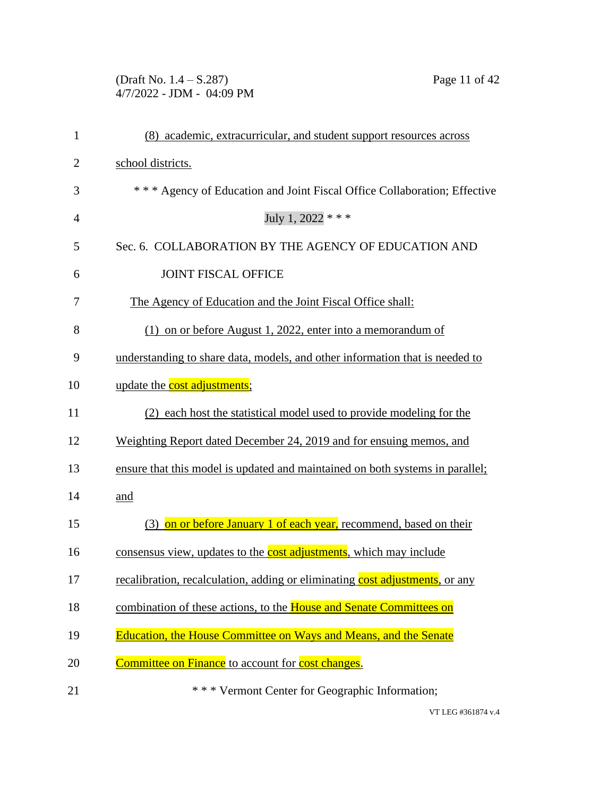## (Draft No. 1.4 – S.287) Page 11 of 42 4/7/2022 - JDM - 04:09 PM

| (8) academic, extracurricular, and student support resources across           |
|-------------------------------------------------------------------------------|
| school districts.                                                             |
| *** Agency of Education and Joint Fiscal Office Collaboration; Effective      |
| July 1, 2022 * * *                                                            |
| Sec. 6. COLLABORATION BY THE AGENCY OF EDUCATION AND                          |
| <b>JOINT FISCAL OFFICE</b>                                                    |
| The Agency of Education and the Joint Fiscal Office shall:                    |
| $(1)$ on or before August 1, 2022, enter into a memorandum of                 |
| understanding to share data, models, and other information that is needed to  |
| update the cost adjustments;                                                  |
| (2) each host the statistical model used to provide modeling for the          |
| Weighting Report dated December 24, 2019 and for ensuing memos, and           |
| ensure that this model is updated and maintained on both systems in parallel; |
| and                                                                           |
| (3) on or before January 1 of each year, recommend, based on their            |
| consensus view, updates to the cost adjustments, which may include            |
| recalibration, recalculation, adding or eliminating cost adjustments, or any  |
| combination of these actions, to the House and Senate Committees on           |
| Education, the House Committee on Ways and Means, and the Senate              |
| <b>Committee on Finance</b> to account for <b>cost changes</b> .              |
| *** Vermont Center for Geographic Information;                                |
|                                                                               |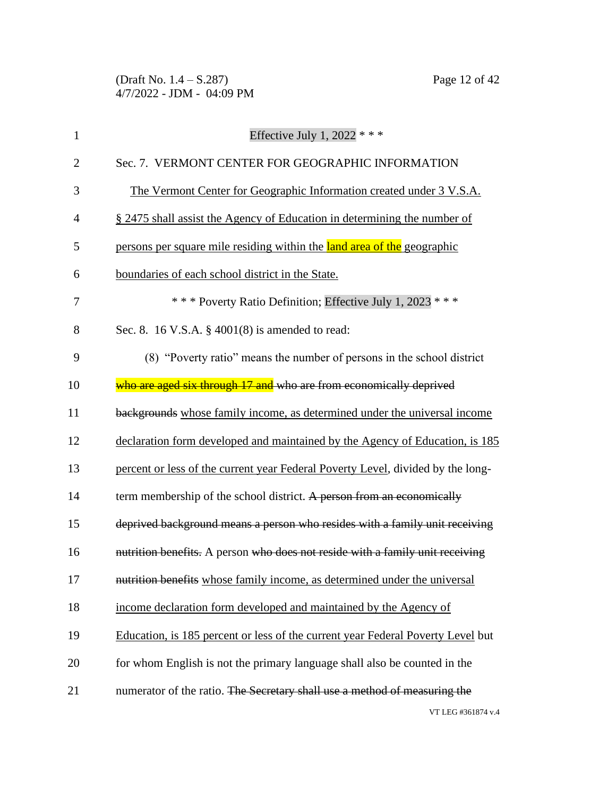(Draft No. 1.4 – S.287) Page 12 of 42 4/7/2022 - JDM - 04:09 PM

| $\mathbf{1}$   | Effective July 1, 2022 $***$                                                    |
|----------------|---------------------------------------------------------------------------------|
| $\overline{2}$ | Sec. 7. VERMONT CENTER FOR GEOGRAPHIC INFORMATION                               |
| 3              | The Vermont Center for Geographic Information created under 3 V.S.A.            |
| $\overline{4}$ | § 2475 shall assist the Agency of Education in determining the number of        |
| 5              | persons per square mile residing within the land area of the geographic         |
| 6              | boundaries of each school district in the State.                                |
| 7              | *** Poverty Ratio Definition; Effective July 1, 2023 ***                        |
| 8              | Sec. 8. 16 V.S.A. $\S$ 4001(8) is amended to read:                              |
| 9              | (8) "Poverty ratio" means the number of persons in the school district          |
| 10             | who are aged six through 17 and who are from economically deprived              |
| 11             | backgrounds whose family income, as determined under the universal income       |
| 12             | declaration form developed and maintained by the Agency of Education, is 185    |
| 13             | percent or less of the current year Federal Poverty Level, divided by the long- |
| 14             | term membership of the school district. A person from an economically           |
| 15             | deprived background means a person who resides with a family unit receiving     |
| 16             | nutrition benefits. A person who does not reside with a family unit receiving   |
| 17             | nutrition benefits whose family income, as determined under the universal       |
| 18             | income declaration form developed and maintained by the Agency of               |
| 19             | Education, is 185 percent or less of the current year Federal Poverty Level but |
| 20             | for whom English is not the primary language shall also be counted in the       |
| 21             | numerator of the ratio. The Secretary shall use a method of measuring the       |
|                | VT LEG #361874 v.4                                                              |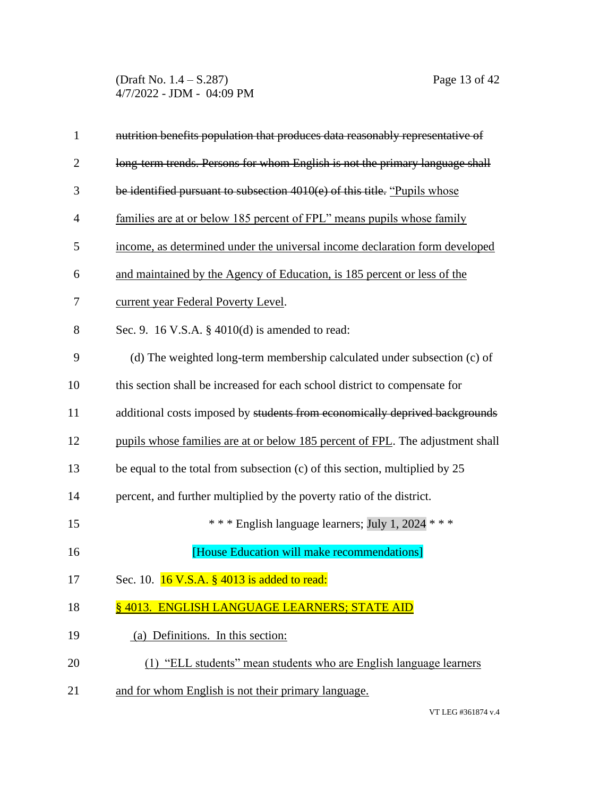(Draft No. 1.4 – S.287) Page 13 of 42 4/7/2022 - JDM - 04:09 PM

| $\mathbf{1}$   | nutrition benefits population that produces data reasonably representative of  |
|----------------|--------------------------------------------------------------------------------|
| $\overline{2}$ | long-term trends. Persons for whom English is not the primary language shall   |
| 3              | be identified pursuant to subsection 4010(e) of this title. "Pupils whose      |
| 4              | families are at or below 185 percent of FPL" means pupils whose family         |
| 5              | income, as determined under the universal income declaration form developed    |
| 6              | and maintained by the Agency of Education, is 185 percent or less of the       |
| 7              | current year Federal Poverty Level.                                            |
| 8              | Sec. 9. 16 V.S.A. § 4010(d) is amended to read:                                |
| 9              | (d) The weighted long-term membership calculated under subsection (c) of       |
| 10             | this section shall be increased for each school district to compensate for     |
| 11             | additional costs imposed by students from economically deprived backgrounds    |
| 12             | pupils whose families are at or below 185 percent of FPL. The adjustment shall |
| 13             | be equal to the total from subsection $(c)$ of this section, multiplied by 25  |
| 14             | percent, and further multiplied by the poverty ratio of the district.          |
| 15             | *** English language learners; July 1, 2024 ***                                |
| 16             | [House Education will make recommendations]                                    |
| 17             | Sec. 10. 16 V.S.A. § 4013 is added to read:                                    |
| 18             | §4013. ENGLISH LANGUAGE LEARNERS; STATE AID                                    |
| 19             | (a) Definitions. In this section:                                              |
| 20             | (1) "ELL students" mean students who are English language learners             |
| 21             | and for whom English is not their primary language.                            |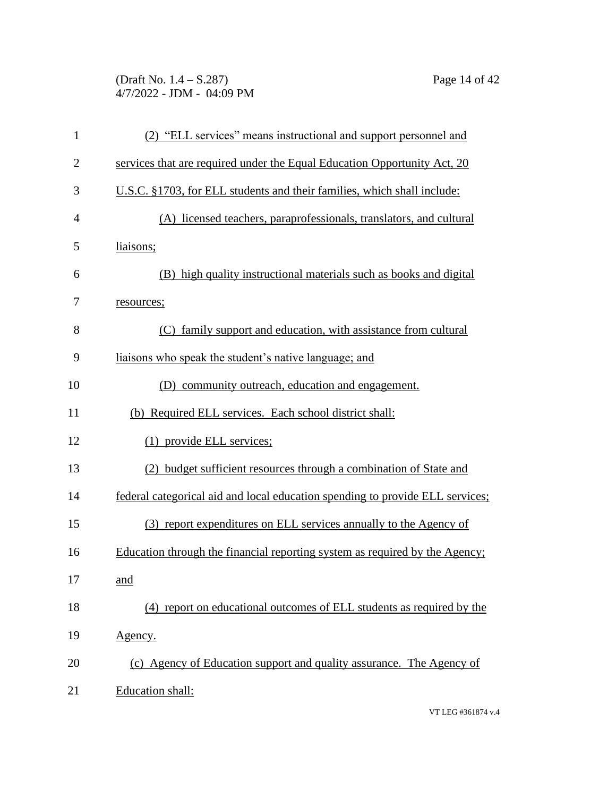(Draft No. 1.4 – S.287) Page 14 of 42 4/7/2022 - JDM - 04:09 PM

| $\mathbf{1}$   | (2) "ELL services" means instructional and support personnel and              |
|----------------|-------------------------------------------------------------------------------|
| $\overline{2}$ | services that are required under the Equal Education Opportunity Act, 20      |
| 3              | U.S.C. §1703, for ELL students and their families, which shall include:       |
| $\overline{4}$ | (A) licensed teachers, paraprofessionals, translators, and cultural           |
| 5              | liaisons;                                                                     |
| 6              | (B) high quality instructional materials such as books and digital            |
| 7              | resources;                                                                    |
| 8              | (C) family support and education, with assistance from cultural               |
| 9              | liaisons who speak the student's native language; and                         |
| 10             | (D) community outreach, education and engagement.                             |
| 11             | (b) Required ELL services. Each school district shall:                        |
| 12             | (1) provide ELL services;                                                     |
| 13             | (2) budget sufficient resources through a combination of State and            |
| 14             | federal categorical aid and local education spending to provide ELL services; |
| 15             | (3) report expenditures on ELL services annually to the Agency of             |
| 16             | Education through the financial reporting system as required by the Agency;   |
| 17             | <u>and</u>                                                                    |
| 18             | (4) report on educational outcomes of ELL students as required by the         |
| 19             | <u>Agency.</u>                                                                |
| 20             | (c) Agency of Education support and quality assurance. The Agency of          |
| 21             | Education shall:                                                              |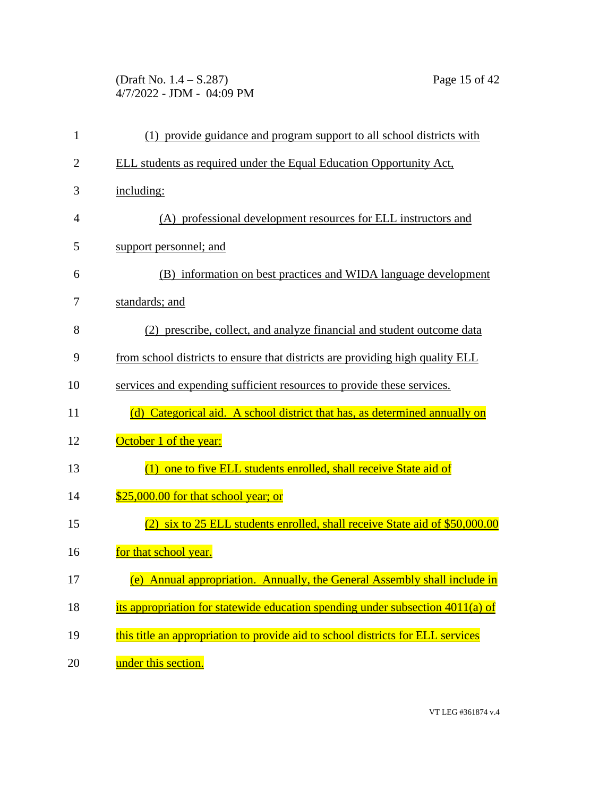(Draft No. 1.4 – S.287) Page 15 of 42 4/7/2022 - JDM - 04:09 PM

| $\mathbf{1}$   | (1) provide guidance and program support to all school districts with           |
|----------------|---------------------------------------------------------------------------------|
| $\overline{2}$ | ELL students as required under the Equal Education Opportunity Act,             |
| 3              | including:                                                                      |
| 4              | (A) professional development resources for ELL instructors and                  |
| 5              | support personnel; and                                                          |
| 6              | (B) information on best practices and WIDA language development                 |
| 7              | standards; and                                                                  |
| 8              | (2) prescribe, collect, and analyze financial and student outcome data          |
| 9              | from school districts to ensure that districts are providing high quality ELL   |
| 10             | services and expending sufficient resources to provide these services.          |
| 11             | (d) Categorical aid. A school district that has, as determined annually on      |
| 12             | October 1 of the year:                                                          |
| 13             | one to five ELL students enrolled, shall receive State aid of<br>(1)            |
| 14             | \$25,000.00 for that school year; or                                            |
| 15             | six to 25 ELL students enrolled, shall receive State aid of \$50,000.00         |
| 16             | for that school year.                                                           |
| 17             | (e) Annual appropriation. Annually, the General Assembly shall include in       |
| 18             | its appropriation for statewide education spending under subsection 4011(a) of  |
| 19             | this title an appropriation to provide aid to school districts for ELL services |
| 20             | under this section.                                                             |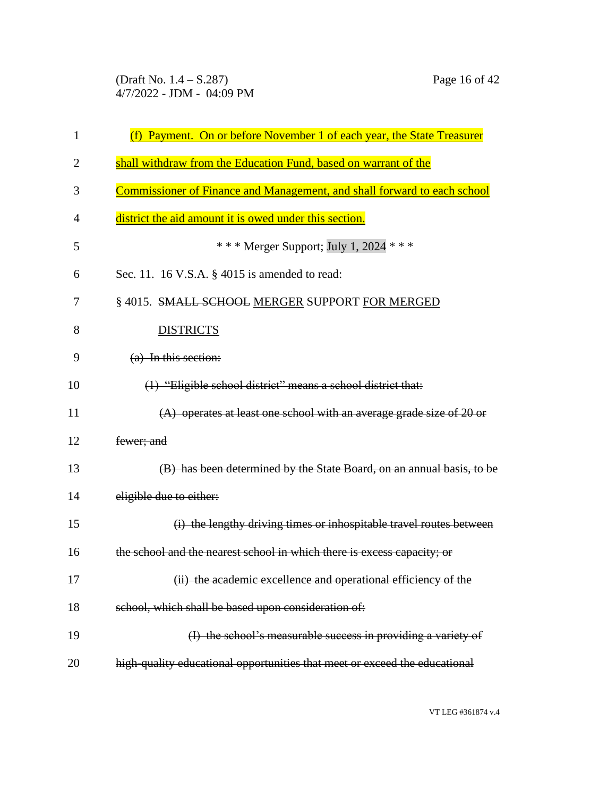(Draft No. 1.4 – S.287) Page 16 of 42 4/7/2022 - JDM - 04:09 PM

| $\mathbf{1}$ | (f) Payment. On or before November 1 of each year, the State Treasurer     |
|--------------|----------------------------------------------------------------------------|
| 2            | shall withdraw from the Education Fund, based on warrant of the            |
| 3            | Commissioner of Finance and Management, and shall forward to each school   |
| 4            | district the aid amount it is owed under this section.                     |
| 5            | * * * Merger Support; July 1, 2024 * * *                                   |
| 6            | Sec. 11. 16 V.S.A. § 4015 is amended to read:                              |
| 7            | § 4015. SMALL SCHOOL MERGER SUPPORT FOR MERGED                             |
| 8            | <b>DISTRICTS</b>                                                           |
| 9            | (a) In this section:                                                       |
| 10           | (1) "Eligible school district" means a school district that:               |
| 11           | (A) operates at least one school with an average grade size of 20 or       |
| 12           | fewer; and                                                                 |
| 13           | (B) has been determined by the State Board, on an annual basis, to be      |
| 14           | eligible due to either:                                                    |
| 15           | (i) the lengthy driving times or inhospitable travel routes between        |
| 16           | the school and the nearest school in which there is excess capacity; or    |
| 17           | (ii) the academic excellence and operational efficiency of the             |
| 18           | school, which shall be based upon consideration of:                        |
| 19           | (I) the school's measurable success in providing a variety of              |
| 20           | high-quality educational opportunities that meet or exceed the educational |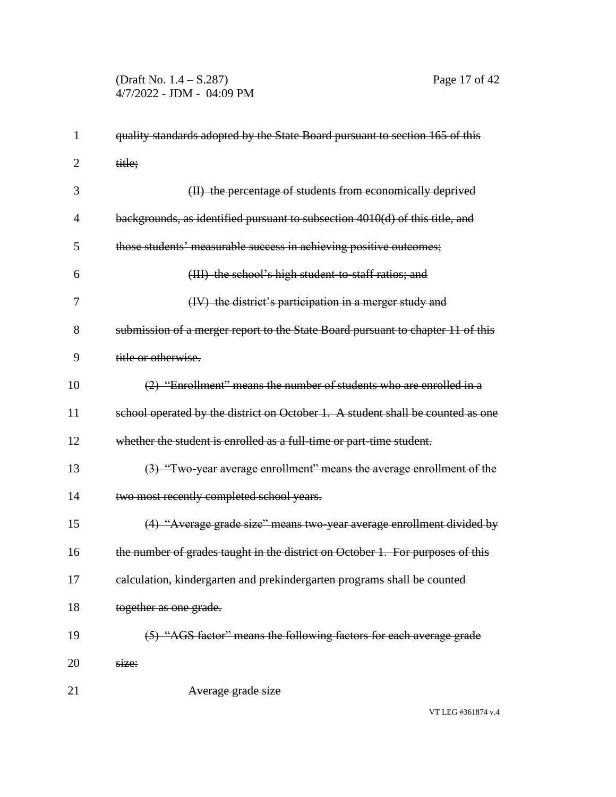## (Draft No. 1.4 – S.287) Page 17 of 42 4/7/2022 - JDM - 04:09 PM

| $\mathbf{1}$   | quality standards adopted by the State Board pursuant to section 165 of this    |
|----------------|---------------------------------------------------------------------------------|
| 2              | title;                                                                          |
| 3              | (II) the percentage of students from economically deprived                      |
| $\overline{4}$ | backgrounds, as identified pursuant to subsection 4010(d) of this title, and    |
| 5              | those students' measurable success in achieving positive outcomes;              |
| 6              | (III) the school's high student to staff ratios; and                            |
| 7              | (IV) the district's participation in a merger study and                         |
| 8              | submission of a merger report to the State Board pursuant to chapter 11 of this |
| 9              | title or otherwise.                                                             |
| 10             | (2) "Enrollment" means the number of students who are enrolled in a             |
| 11             | school operated by the district on October 1. A student shall be counted as one |
| 12             | whether the student is enrolled as a full-time or part-time student.            |
| 13             | (3) "Two year average enrollment" means the average enrollment of the           |
| 14             | two most recently completed school years.                                       |
| 15             | (4) "Average grade size" means two-year average enrollment divided by           |
| 16             | the number of grades taught in the district on October 1. For purposes of this  |
| 17             | calculation, kindergarten and prekindergarten programs shall be counted         |
| 18             | together as one grade.                                                          |
| 19             | (5) "AGS factor" means the following factors for each average grade             |
| 20             | size:                                                                           |
| 21             | Average grade size                                                              |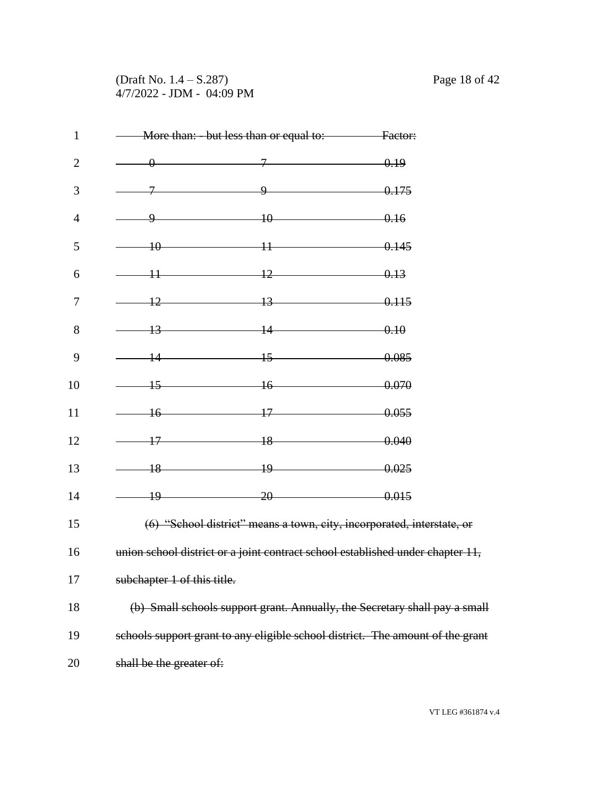# (Draft No. 1.4 – S.287) Page 18 of 42 4/7/2022 - JDM - 04:09 PM

| $\mathbf{1}$   |                             | More than: - but less than or equal to: Factor: |                                                                                |
|----------------|-----------------------------|-------------------------------------------------|--------------------------------------------------------------------------------|
| $\overline{2}$ |                             | $\sqrt{0}$ 0.19                                 |                                                                                |
| 3              | $\mathcal{I}$               | $9 \t\t 0.175$                                  |                                                                                |
| $\overline{4}$ | 9                           | $\overline{10}$                                 | $-0.16$                                                                        |
| 5              |                             | $10$ 0.145                                      |                                                                                |
| 6              |                             | $11$ 0.13                                       |                                                                                |
| 7              |                             | $12 \t\t 13 \t\t 0.115$                         |                                                                                |
| 8              |                             | $13$ 0.10                                       |                                                                                |
| 9              |                             | $14$ $15$                                       | $-0.085$                                                                       |
| 10             | $\overline{15}$             | $16 \t\t 0.070$                                 |                                                                                |
| 11             |                             | $16$ 0.055                                      |                                                                                |
| 12             |                             | $17 - 18 - 0.040$                               |                                                                                |
| 13             |                             | $18 \t\t 19 \t\t 0.025$                         |                                                                                |
| 14             | $\frac{19}{2}$              | $\overline{20}$                                 | $-0.015$                                                                       |
| 15             |                             |                                                 | (6) "School district" means a town, city, incorporated, interstate, or         |
| 16             |                             |                                                 | union school district or a joint contract school established under chapter 11, |
| 17             | subchapter 1 of this title. |                                                 |                                                                                |
| 18             |                             |                                                 | (b) Small schools support grant. Annually, the Secretary shall pay a small     |
| 19             |                             |                                                 | schools support grant to any eligible school district. The amount of the grant |
| 20             | shall be the greater of:    |                                                 |                                                                                |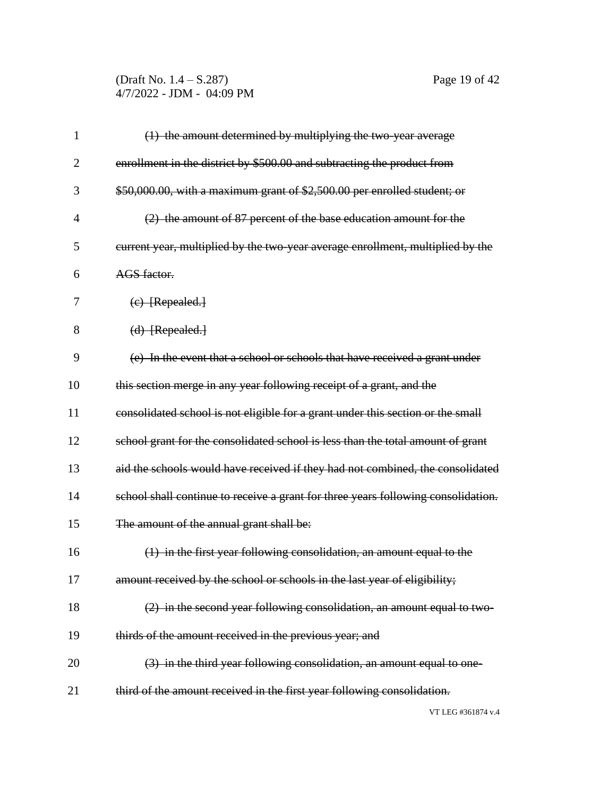(Draft No. 1.4 – S.287) Page 19 of 42 4/7/2022 - JDM - 04:09 PM

| $\mathbf{1}$   | (1) the amount determined by multiplying the two-year average                     |
|----------------|-----------------------------------------------------------------------------------|
| $\overline{2}$ | enrollment in the district by \$500.00 and subtracting the product from           |
| 3              | \$50,000.00, with a maximum grant of \$2,500.00 per enrolled student; or          |
| $\overline{4}$ | (2) the amount of 87 percent of the base education amount for the                 |
| 5              | current year, multiplied by the two-year average enrollment, multiplied by the    |
| 6              | AGS factor.                                                                       |
| 7              | $(e)$ [Repealed.]                                                                 |
| 8              | (d) [Repealed.]                                                                   |
| 9              | (e) In the event that a school or schools that have received a grant under        |
| 10             | this section merge in any year following receipt of a grant, and the              |
| 11             | consolidated school is not eligible for a grant under this section or the small   |
| 12             | school grant for the consolidated school is less than the total amount of grant   |
| 13             | aid the schools would have received if they had not combined, the consolidated    |
| 14             | school shall continue to receive a grant for three years following consolidation. |
| 15             | The amount of the annual grant shall be:                                          |
| 16             | (1) in the first year following consolidation, an amount equal to the             |
| 17             | amount received by the school or schools in the last year of eligibility;         |
| 18             | (2) in the second year following consolidation, an amount equal to two-           |
| 19             | thirds of the amount received in the previous year; and                           |
| 20             | (3) in the third year following consolidation, an amount equal to one-            |
| 21             | third of the amount received in the first year following consolidation.           |
|                | VT LEG #361874 v.4                                                                |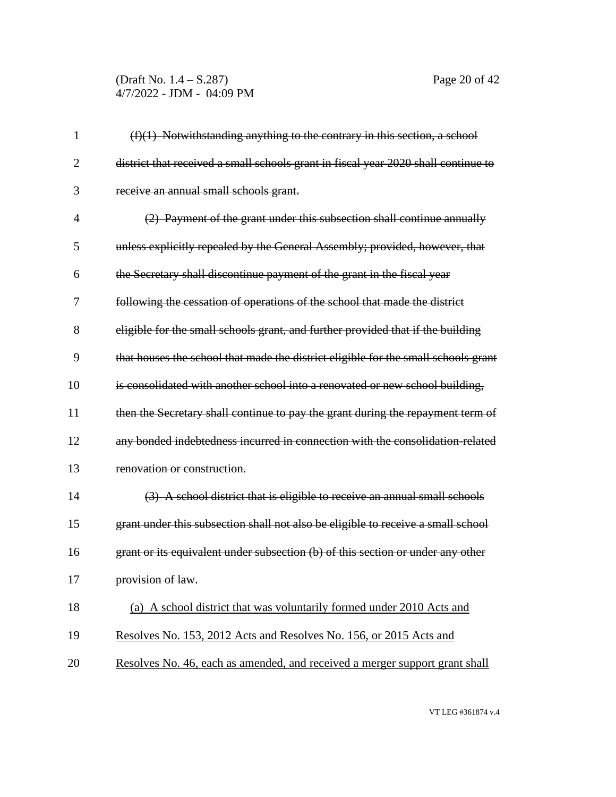(Draft No. 1.4 – S.287) Page 20 of 42 4/7/2022 - JDM - 04:09 PM

| 1              | $(f)(1)$ Notwithstanding anything to the contrary in this section, a school        |
|----------------|------------------------------------------------------------------------------------|
| $\overline{2}$ | district that received a small schools grant in fiscal year 2020 shall continue to |
| 3              | receive an annual small schools grant.                                             |
| 4              | (2) Payment of the grant under this subsection shall continue annually             |
| 5              | unless explicitly repealed by the General Assembly; provided, however, that        |
| 6              | the Secretary shall discontinue payment of the grant in the fiscal year            |
| 7              | following the cessation of operations of the school that made the district         |
| 8              | eligible for the small schools grant, and further provided that if the building    |
| 9              | that houses the school that made the district eligible for the small schools grant |
| 10             | is consolidated with another school into a renovated or new school building.       |
| 11             | then the Secretary shall continue to pay the grant during the repayment term of    |
| 12             | any bonded indebtedness incurred in connection with the consolidation-related      |
| 13             | renovation or construction.                                                        |
| 14             | (3) A school district that is eligible to receive an annual small schools          |
| 15             | grant under this subsection shall not also be eligible to receive a small school   |
| 16             | grant or its equivalent under subsection (b) of this section or under any other    |
| 17             | provision of law.                                                                  |
| 18             | (a) A school district that was voluntarily formed under 2010 Acts and              |
| 19             | Resolves No. 153, 2012 Acts and Resolves No. 156, or 2015 Acts and                 |
| 20             | Resolves No. 46, each as amended, and received a merger support grant shall        |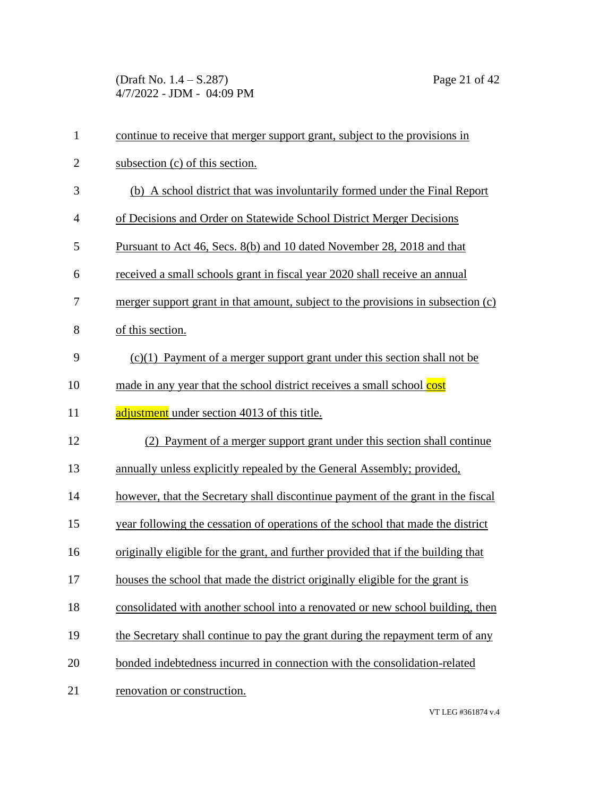(Draft No. 1.4 – S.287) Page 21 of 42 4/7/2022 - JDM - 04:09 PM

| $\mathbf{1}$   | continue to receive that merger support grant, subject to the provisions in       |
|----------------|-----------------------------------------------------------------------------------|
| $\overline{2}$ | subsection (c) of this section.                                                   |
| 3              | (b) A school district that was involuntarily formed under the Final Report        |
| $\overline{4}$ | of Decisions and Order on Statewide School District Merger Decisions              |
| 5              | Pursuant to Act 46, Secs. 8(b) and 10 dated November 28, 2018 and that            |
| 6              | received a small schools grant in fiscal year 2020 shall receive an annual        |
| 7              | merger support grant in that amount, subject to the provisions in subsection (c)  |
| 8              | of this section.                                                                  |
| 9              | $(c)(1)$ Payment of a merger support grant under this section shall not be        |
| 10             | made in any year that the school district receives a small school cost            |
| 11             | adjustment under section 4013 of this title.                                      |
| 12             | (2) Payment of a merger support grant under this section shall continue           |
| 13             | annually unless explicitly repealed by the General Assembly; provided,            |
| 14             | however, that the Secretary shall discontinue payment of the grant in the fiscal  |
| 15             | year following the cessation of operations of the school that made the district   |
| 16             | originally eligible for the grant, and further provided that if the building that |
| 17             | houses the school that made the district originally eligible for the grant is     |
| 18             | consolidated with another school into a renovated or new school building, then    |
| 19             | the Secretary shall continue to pay the grant during the repayment term of any    |
| 20             | bonded indebtedness incurred in connection with the consolidation-related         |
| 21             | renovation or construction.                                                       |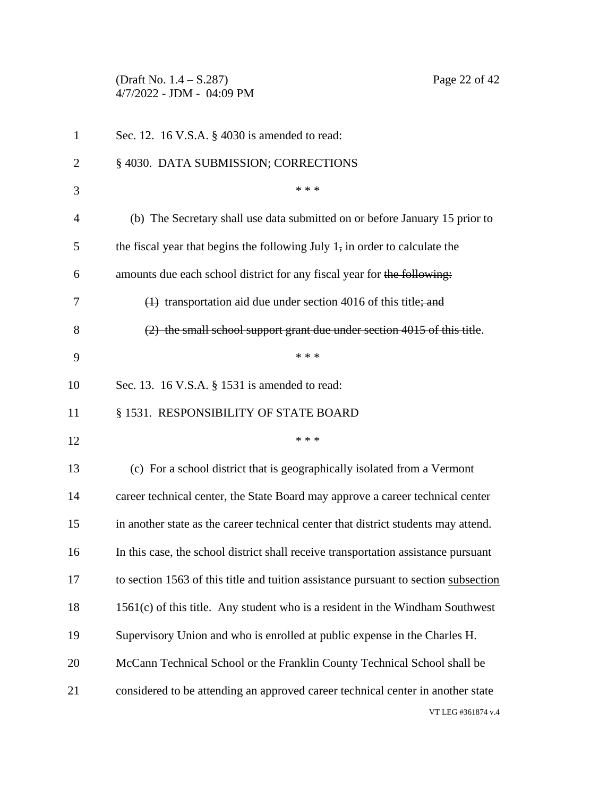(Draft No. 1.4 – S.287) Page 22 of 42 4/7/2022 - JDM - 04:09 PM

| $\mathbf 1$    | Sec. 12. 16 V.S.A. § 4030 is amended to read:                                           |
|----------------|-----------------------------------------------------------------------------------------|
| $\overline{2}$ | § 4030. DATA SUBMISSION; CORRECTIONS                                                    |
| 3              | * * *                                                                                   |
| $\overline{4}$ | (b) The Secretary shall use data submitted on or before January 15 prior to             |
| 5              | the fiscal year that begins the following July $1$ , in order to calculate the          |
| 6              | amounts due each school district for any fiscal year for the following:                 |
| 7              | $\left(\frac{1}{2}\right)$ transportation aid due under section 4016 of this title; and |
| 8              | (2) the small school support grant due under section 4015 of this title.                |
| 9              | * * *                                                                                   |
| 10             | Sec. 13. 16 V.S.A. § 1531 is amended to read:                                           |
| 11             | § 1531. RESPONSIBILITY OF STATE BOARD                                                   |
| 12             | * * *                                                                                   |
| 13             | (c) For a school district that is geographically isolated from a Vermont                |
| 14             | career technical center, the State Board may approve a career technical center          |
| 15             | in another state as the career technical center that district students may attend.      |
| 16             | In this case, the school district shall receive transportation assistance pursuant      |
| 17             | to section 1563 of this title and tuition assistance pursuant to section subsection     |
| 18             | $1561(c)$ of this title. Any student who is a resident in the Windham Southwest         |
| 19             | Supervisory Union and who is enrolled at public expense in the Charles H.               |
| 20             | McCann Technical School or the Franklin County Technical School shall be                |
| 21             | considered to be attending an approved career technical center in another state         |
|                | VT LEG #361874 v.4                                                                      |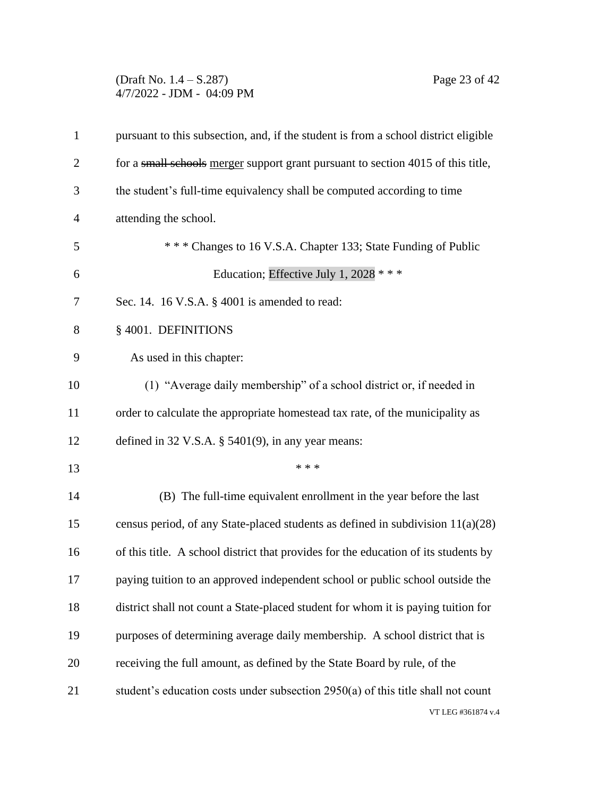### (Draft No. 1.4 – S.287) Page 23 of 42 4/7/2022 - JDM - 04:09 PM

| $\mathbf{1}$   | pursuant to this subsection, and, if the student is from a school district eligible |
|----------------|-------------------------------------------------------------------------------------|
| $\overline{2}$ | for a small schools merger support grant pursuant to section 4015 of this title,    |
| 3              | the student's full-time equivalency shall be computed according to time             |
| $\overline{4}$ | attending the school.                                                               |
| 5              | *** Changes to 16 V.S.A. Chapter 133; State Funding of Public                       |
| 6              | Education; Effective July 1, 2028 ***                                               |
| 7              | Sec. 14. 16 V.S.A. § 4001 is amended to read:                                       |
| 8              | § 4001. DEFINITIONS                                                                 |
| 9              | As used in this chapter:                                                            |
| 10             | (1) "Average daily membership" of a school district or, if needed in                |
| 11             | order to calculate the appropriate homestead tax rate, of the municipality as       |
| 12             | defined in $32$ V.S.A. § $5401(9)$ , in any year means:                             |
| 13             | * * *                                                                               |
| 14             | (B) The full-time equivalent enrollment in the year before the last                 |
| 15             | census period, of any State-placed students as defined in subdivision $11(a)(28)$   |
| 16             | of this title. A school district that provides for the education of its students by |
| 17             | paying tuition to an approved independent school or public school outside the       |
| 18             | district shall not count a State-placed student for whom it is paying tuition for   |
| 19             | purposes of determining average daily membership. A school district that is         |
| 20             | receiving the full amount, as defined by the State Board by rule, of the            |
| 21             | student's education costs under subsection 2950(a) of this title shall not count    |
|                | VT LEG #361874 v.4                                                                  |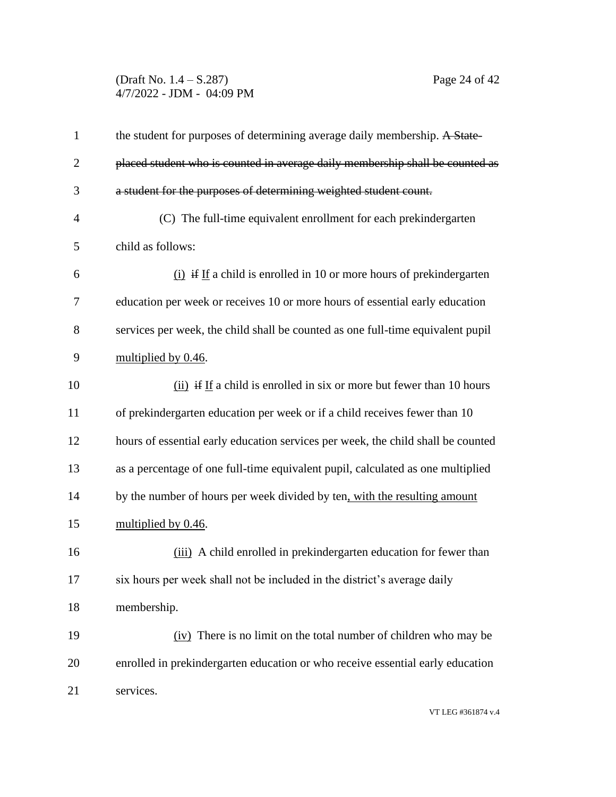### (Draft No. 1.4 – S.287) Page 24 of 42 4/7/2022 - JDM - 04:09 PM

| $\mathbf{1}$   | the student for purposes of determining average daily membership. A State-       |
|----------------|----------------------------------------------------------------------------------|
| $\overline{2}$ | placed student who is counted in average daily membership shall be counted as    |
| 3              | a student for the purposes of determining weighted student count.                |
| $\overline{4}$ | (C) The full-time equivalent enrollment for each prekindergarten                 |
| 5              | child as follows:                                                                |
| 6              | $(i)$ if If a child is enrolled in 10 or more hours of prekindergarten           |
| 7              | education per week or receives 10 or more hours of essential early education     |
| 8              | services per week, the child shall be counted as one full-time equivalent pupil  |
| 9              | multiplied by 0.46.                                                              |
| 10             | (ii) if If a child is enrolled in six or more but fewer than 10 hours            |
| 11             | of prekindergarten education per week or if a child receives fewer than 10       |
| 12             | hours of essential early education services per week, the child shall be counted |
| 13             | as a percentage of one full-time equivalent pupil, calculated as one multiplied  |
| 14             | by the number of hours per week divided by ten, with the resulting amount        |
| 15             | multiplied by 0.46.                                                              |
| 16             | (iii) A child enrolled in prekindergarten education for fewer than               |
| 17             | six hours per week shall not be included in the district's average daily         |
| 18             | membership.                                                                      |
| 19             | (iv) There is no limit on the total number of children who may be                |
| 20             | enrolled in prekindergarten education or who receive essential early education   |
| 21             | services.                                                                        |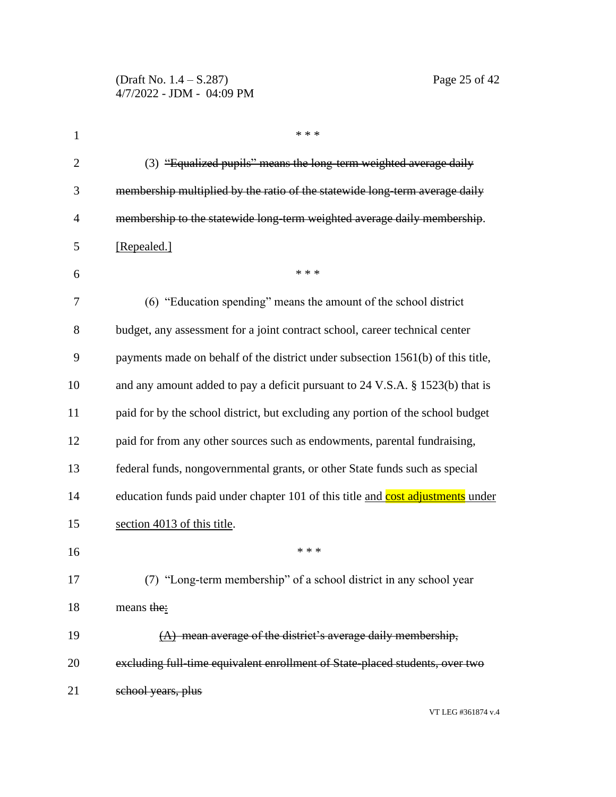| 1              | * * *                                                                           |
|----------------|---------------------------------------------------------------------------------|
| $\overline{2}$ | (3) "Equalized pupils" means the long-term weighted average daily               |
| 3              | membership multiplied by the ratio of the statewide long-term average daily     |
| $\overline{4}$ | membership to the statewide long-term weighted average daily membership.        |
| 5              | [Repealed.]                                                                     |
| 6              | * * *                                                                           |
| 7              | (6) "Education spending" means the amount of the school district                |
| 8              | budget, any assessment for a joint contract school, career technical center     |
| 9              | payments made on behalf of the district under subsection 1561(b) of this title, |
| 10             | and any amount added to pay a deficit pursuant to 24 V.S.A. § 1523(b) that is   |
| 11             | paid for by the school district, but excluding any portion of the school budget |
| 12             | paid for from any other sources such as endowments, parental fundraising,       |
| 13             | federal funds, nongovernmental grants, or other State funds such as special     |
| 14             | education funds paid under chapter 101 of this title and cost adjustments under |
| 15             | section 4013 of this title.                                                     |
| 16             | * * *                                                                           |
| 17             | (7) "Long-term membership" of a school district in any school year              |
| 18             | means the:                                                                      |
| 19             | $(A)$ mean average of the district's average daily membership,                  |
| 20             | excluding full-time equivalent enrollment of State-placed students, over two    |
| 21             | school years, plus                                                              |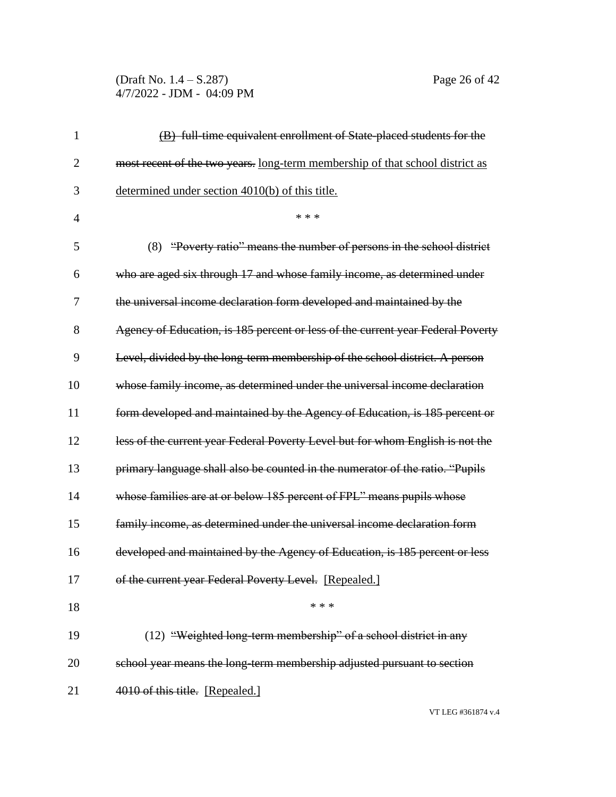(Draft No. 1.4 – S.287) Page 26 of 42 4/7/2022 - JDM - 04:09 PM

| $\mathbf{1}$   | (B) full-time equivalent enrollment of State-placed students for the            |
|----------------|---------------------------------------------------------------------------------|
| $\overline{2}$ | most recent of the two years. long-term membership of that school district as   |
| 3              | determined under section 4010(b) of this title.                                 |
| $\overline{4}$ | * * *                                                                           |
| 5              | (8) "Poverty ratio" means the number of persons in the school district          |
| 6              | who are aged six through 17 and whose family income, as determined under        |
| 7              | the universal income declaration form developed and maintained by the           |
| 8              | Agency of Education, is 185 percent or less of the current year Federal Poverty |
| 9              | Level, divided by the long-term membership of the school district. A person     |
| 10             | whose family income, as determined under the universal income declaration       |
| 11             | form developed and maintained by the Agency of Education, is 185 percent or     |
| 12             | less of the current year Federal Poverty Level but for whom English is not the  |
| 13             | primary language shall also be counted in the numerator of the ratio. "Pupils   |
| 14             | whose families are at or below 185 percent of FPL" means pupils whose           |
| 15             | family income, as determined under the universal income declaration form        |
| 16             | developed and maintained by the Agency of Education, is 185 percent or less     |
| 17             | of the current year Federal Poverty Level. [Repealed.]                          |
| 18             | * * *                                                                           |
| 19             | (12) "Weighted long-term membership" of a school district in any                |
| 20             | school year means the long-term membership adjusted pursuant to section         |
| 21             | 4010 of this title. [Repealed.]                                                 |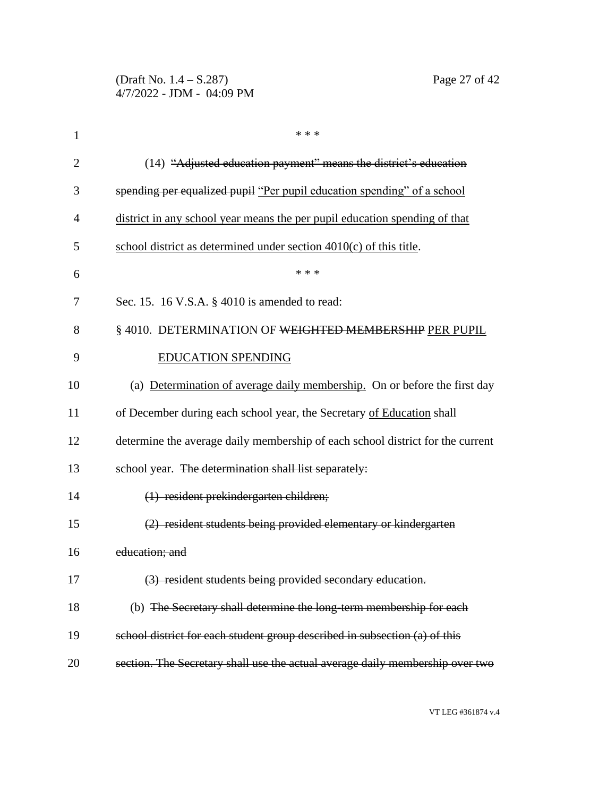| $\mathbf{1}$   | * * *                                                                          |
|----------------|--------------------------------------------------------------------------------|
| $\overline{2}$ | (14) "Adjusted education payment" means the district's education               |
| 3              | spending per equalized pupil "Per pupil education spending" of a school        |
| 4              | district in any school year means the per pupil education spending of that     |
| 5              | school district as determined under section 4010(c) of this title.             |
| 6              | * * *                                                                          |
| 7              | Sec. 15. 16 V.S.A. § 4010 is amended to read:                                  |
| 8              | § 4010. DETERMINATION OF WEIGHTED MEMBERSHIP PER PUPIL                         |
| 9              | <b>EDUCATION SPENDING</b>                                                      |
| 10             | (a) Determination of average daily membership. On or before the first day      |
| 11             | of December during each school year, the Secretary of Education shall          |
| 12             | determine the average daily membership of each school district for the current |
| 13             | school year. The determination shall list separately:                          |
| 14             | (1) resident prekindergarten children;                                         |
| 15             | (2) resident students being provided elementary or kindergarten                |
| 16             | education; and                                                                 |
| 17             | (3) resident students being provided secondary education.                      |
| 18             | (b) The Secretary shall determine the long-term membership for each            |
| 19             | school district for each student group described in subsection (a) of this     |
| 20             | section. The Secretary shall use the actual average daily membership over two  |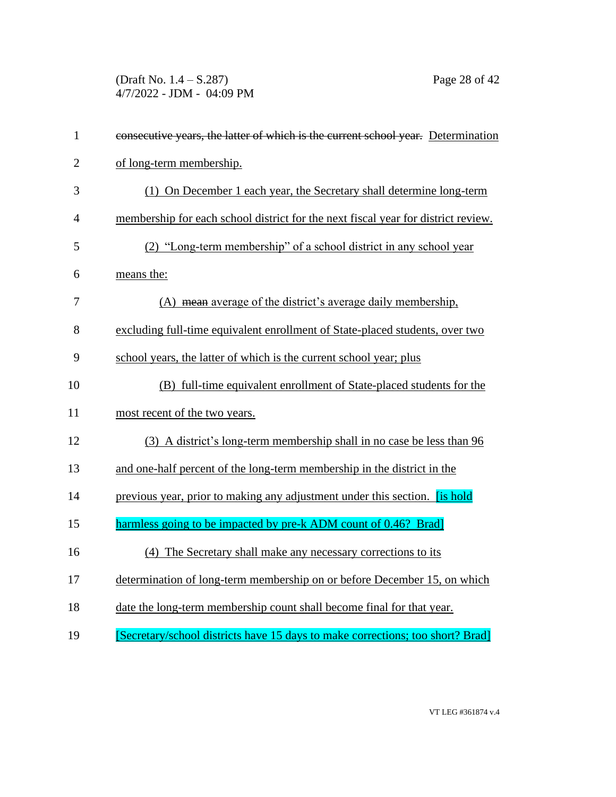(Draft No. 1.4 – S.287) Page 28 of 42 4/7/2022 - JDM - 04:09 PM

| $\mathbf{1}$   | consecutive years, the latter of which is the current school year. Determination    |
|----------------|-------------------------------------------------------------------------------------|
| $\overline{2}$ | of long-term membership.                                                            |
| 3              | (1) On December 1 each year, the Secretary shall determine long-term                |
| $\overline{4}$ | membership for each school district for the next fiscal year for district review.   |
| 5              | (2) "Long-term membership" of a school district in any school year                  |
| 6              | means the:                                                                          |
| 7              | (A) mean average of the district's average daily membership,                        |
| 8              | excluding full-time equivalent enrollment of State-placed students, over two        |
| 9              | school years, the latter of which is the current school year; plus                  |
| 10             | (B) full-time equivalent enrollment of State-placed students for the                |
| 11             | most recent of the two years.                                                       |
| 12             | (3) A district's long-term membership shall in no case be less than 96              |
| 13             | and one-half percent of the long-term membership in the district in the             |
| 14             | previous year, prior to making any adjustment under this section. <b>[is hold</b> ] |
| 15             | harmless going to be impacted by pre-k ADM count of 0.46? Brad]                     |
| 16             | (4) The Secretary shall make any necessary corrections to its                       |
| 17             | determination of long-term membership on or before December 15, on which            |
| 18             | date the long-term membership count shall become final for that year.               |
| 19             | [Secretary/school districts have 15 days to make corrections; too short? Brad]      |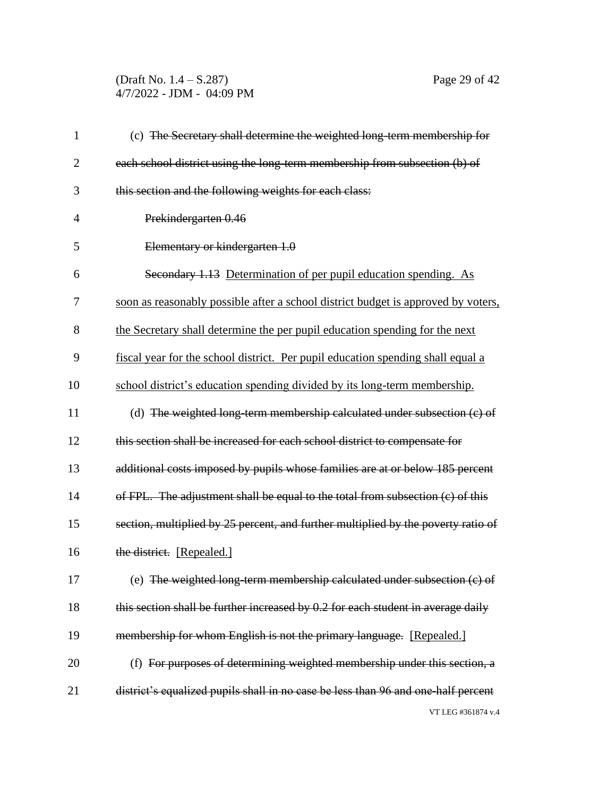(Draft No. 1.4 – S.287) Page 29 of 42 4/7/2022 - JDM - 04:09 PM

| $\mathbf{1}$   | (c) The Secretary shall determine the weighted long-term membership for           |
|----------------|-----------------------------------------------------------------------------------|
| $\overline{2}$ | each school district using the long-term membership from subsection (b) of        |
| 3              | this section and the following weights for each class:                            |
| 4              | Prekindergarten 0.46                                                              |
| 5              | Elementary or kindergarten 1.0                                                    |
| 6              | Secondary 1.13 Determination of per pupil education spending. As                  |
| 7              | soon as reasonably possible after a school district budget is approved by voters, |
| 8              | the Secretary shall determine the per pupil education spending for the next       |
| 9              | fiscal year for the school district. Per pupil education spending shall equal a   |
| 10             | school district's education spending divided by its long-term membership.         |
| 11             | (d) The weighted long-term membership calculated under subsection (c) of          |
| 12             | this section shall be increased for each school district to compensate for        |
| 13             | additional costs imposed by pupils whose families are at or below 185 percent     |
| 14             | of FPL. The adjustment shall be equal to the total from subsection (c) of this    |
| 15             | section, multiplied by 25 percent, and further multiplied by the poverty ratio of |
| 16             | the district. [Repealed.]                                                         |
| 17             | (e) The weighted long-term membership calculated under subsection (c) of          |
| 18             | this section shall be further increased by 0.2 for each student in average daily  |
| 19             | membership for whom English is not the primary language. [Repealed.]              |
| 20             | (f) For purposes of determining weighted membership under this section, a         |
| 21             | district's equalized pupils shall in no case be less than 96 and one-half percent |
|                | VT LEG #361874 v.4                                                                |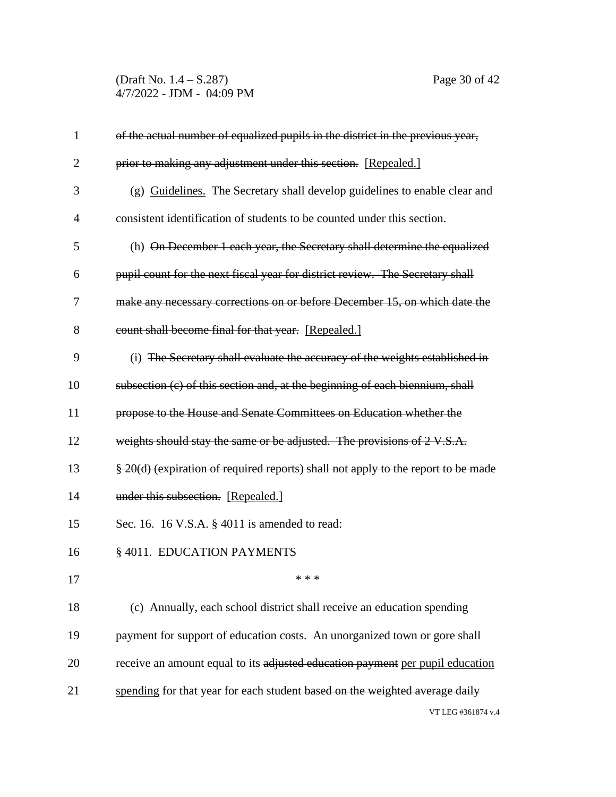(Draft No. 1.4 – S.287) Page 30 of 42 4/7/2022 - JDM - 04:09 PM

| $\mathbf{1}$   | of the actual number of equalized pupils in the district in the previous year,    |
|----------------|-----------------------------------------------------------------------------------|
| $\overline{2}$ | prior to making any adjustment under this section. [Repealed.]                    |
| 3              | (g) Guidelines. The Secretary shall develop guidelines to enable clear and        |
| 4              | consistent identification of students to be counted under this section.           |
| 5              | (h) On December 1 each year, the Secretary shall determine the equalized          |
| 6              | pupil count for the next fiscal year for district review. The Secretary shall     |
| 7              | make any necessary corrections on or before December 15, on which date the        |
| 8              | count shall become final for that year. [Repealed.]                               |
| 9              | (i) The Secretary shall evaluate the accuracy of the weights established in       |
| 10             | subsection (c) of this section and, at the beginning of each biennium, shall      |
| 11             | propose to the House and Senate Committees on Education whether the               |
| 12             | weights should stay the same or be adjusted. The provisions of 2 V.S.A.           |
| 13             | § 20(d) (expiration of required reports) shall not apply to the report to be made |
| 14             | under this subsection. [Repealed.]                                                |
| 15             | Sec. 16. 16 V.S.A. § 4011 is amended to read:                                     |
| 16             | § 4011. EDUCATION PAYMENTS                                                        |
| 17             | * * *                                                                             |
| 18             | (c) Annually, each school district shall receive an education spending            |
| 19             | payment for support of education costs. An unorganized town or gore shall         |
| 20             | receive an amount equal to its adjusted education payment per pupil education     |
| 21             | spending for that year for each student based on the weighted average daily       |
|                | VT LEG #361874 v.4                                                                |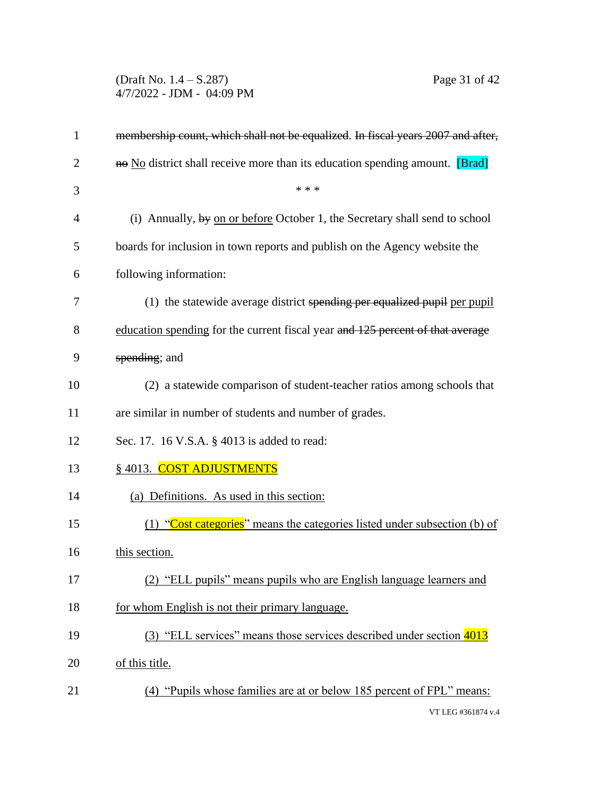(Draft No. 1.4 – S.287) Page 31 of 42 4/7/2022 - JDM - 04:09 PM

| $\mathbf{1}$   | membership count, which shall not be equalized. In fiscal years 2007 and after,          |
|----------------|------------------------------------------------------------------------------------------|
| $\overline{2}$ | no No district shall receive more than its education spending amount. [Brad]             |
| 3              | * * *                                                                                    |
| 4              | (i) Annually, $\frac{dy}{dx}$ on or before October 1, the Secretary shall send to school |
| 5              | boards for inclusion in town reports and publish on the Agency website the               |
| 6              | following information:                                                                   |
| 7              | $(1)$ the statewide average district spending per equalized pupil per pupil              |
| 8              | education spending for the current fiscal year and 125 percent of that average           |
| 9              | spending; and                                                                            |
| 10             | (2) a statewide comparison of student-teacher ratios among schools that                  |
| 11             | are similar in number of students and number of grades.                                  |
| 12             | Sec. 17. 16 V.S.A. § 4013 is added to read:                                              |
| 13             | § 4013. COST ADJUSTMENTS                                                                 |
| 14             | (a) Definitions. As used in this section:                                                |
| 15             | (1) "Cost categories" means the categories listed under subsection (b) of                |
| 16             | this section.                                                                            |
| 17             | (2) "ELL pupils" means pupils who are English language learners and                      |
| 18             | for whom English is not their primary language.                                          |
| 19             | (3) "ELL services" means those services described under section 4013                     |
| 20             | of this title.                                                                           |
| 21             | (4) "Pupils whose families are at or below 185 percent of FPL" means:                    |
|                | VT LEG #361874 v.4                                                                       |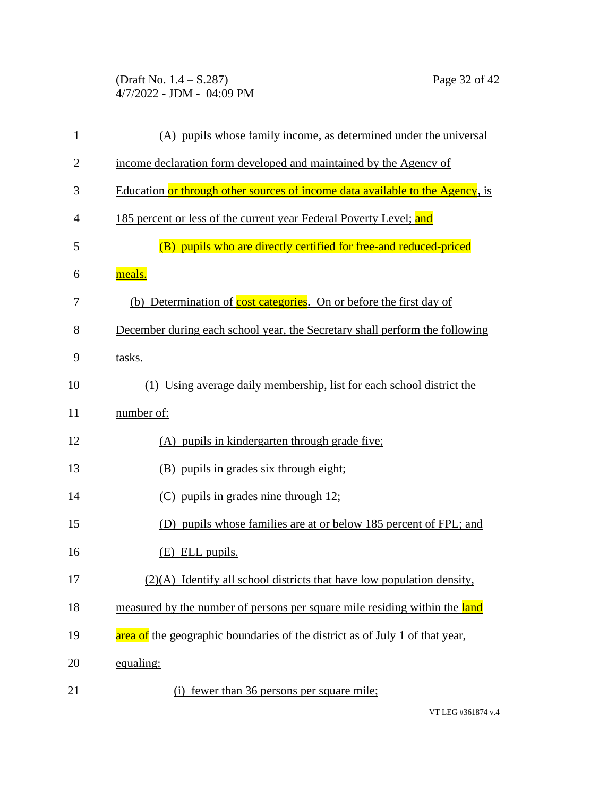(Draft No. 1.4 – S.287) Page 32 of 42 4/7/2022 - JDM - 04:09 PM

| $\mathbf{1}$   | (A) pupils whose family income, as determined under the universal             |
|----------------|-------------------------------------------------------------------------------|
| $\overline{2}$ | income declaration form developed and maintained by the Agency of             |
| 3              | Education or through other sources of income data available to the Agency, is |
| 4              | 185 percent or less of the current year Federal Poverty Level; and            |
| 5              | pupils who are directly certified for free-and reduced-priced<br>(B)          |
| 6              | meals.                                                                        |
| 7              | (b) Determination of cost categories. On or before the first day of           |
| 8              | December during each school year, the Secretary shall perform the following   |
| 9              | tasks.                                                                        |
| 10             | (1) Using average daily membership, list for each school district the         |
| 11             | number of:                                                                    |
| 12             | (A) pupils in kindergarten through grade five;                                |
| 13             | (B) pupils in grades six through eight;                                       |
| 14             | $(C)$ pupils in grades nine through 12;                                       |
| 15             | (D) pupils whose families are at or below 185 percent of FPL; and             |
| 16             | $(E)$ ELL pupils.                                                             |
| 17             | $(2)(A)$ Identify all school districts that have low population density,      |
| 18             | measured by the number of persons per square mile residing within the land    |
| 19             | area of the geographic boundaries of the district as of July 1 of that year,  |
| 20             | equaling:                                                                     |
| 21             | (i) fewer than 36 persons per square mile;                                    |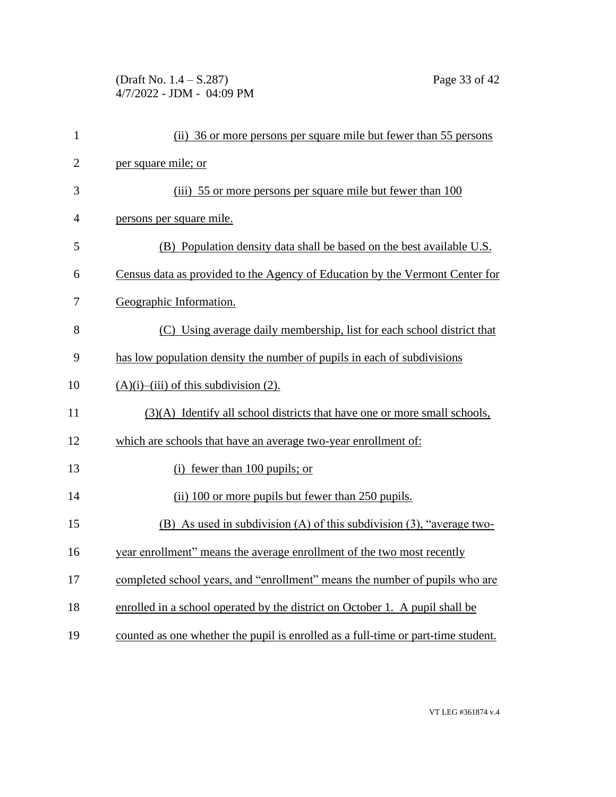(Draft No. 1.4 – S.287) Page 33 of 42 4/7/2022 - JDM - 04:09 PM

| $\mathbf{1}$   | (ii) 36 or more persons per square mile but fewer than 55 persons                 |
|----------------|-----------------------------------------------------------------------------------|
| $\overline{2}$ | per square mile; or                                                               |
| 3              | (iii) 55 or more persons per square mile but fewer than 100                       |
| $\overline{4}$ | persons per square mile.                                                          |
| 5              | (B) Population density data shall be based on the best available U.S.             |
| 6              | Census data as provided to the Agency of Education by the Vermont Center for      |
| 7              | Geographic Information.                                                           |
| 8              | (C) Using average daily membership, list for each school district that            |
| 9              | has low population density the number of pupils in each of subdivisions           |
| 10             | $(A)(i)$ –(iii) of this subdivision (2).                                          |
| 11             | (3)(A) Identify all school districts that have one or more small schools,         |
| 12             | which are schools that have an average two-year enrollment of:                    |
| 13             | (i) fewer than $100$ pupils; or                                                   |
| 14             | (ii) 100 or more pupils but fewer than 250 pupils.                                |
| 15             | (B) As used in subdivision (A) of this subdivision (3), "average two-             |
| 16             | year enrollment" means the average enrollment of the two most recently            |
| 17             | completed school years, and "enrollment" means the number of pupils who are       |
| 18             | enrolled in a school operated by the district on October 1. A pupil shall be      |
| 19             | counted as one whether the pupil is enrolled as a full-time or part-time student. |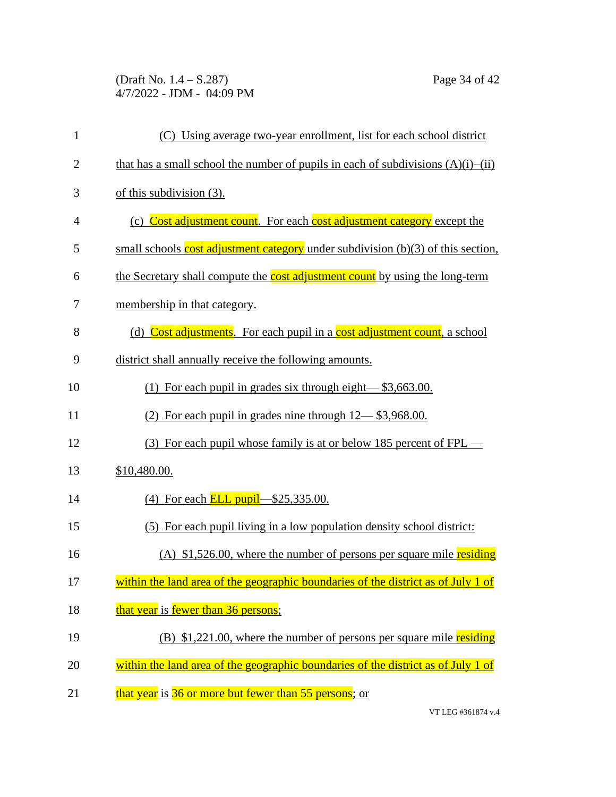(Draft No. 1.4 – S.287) Page 34 of 42 4/7/2022 - JDM - 04:09 PM

| $\mathbf{1}$   | (C) Using average two-year enrollment, list for each school district                   |
|----------------|----------------------------------------------------------------------------------------|
| $\overline{2}$ | that has a small school the number of pupils in each of subdivisions $(A)(i)$ — $(ii)$ |
| 3              | of this subdivision $(3)$ .                                                            |
| $\overline{4}$ | (c) Cost adjustment count. For each cost adjustment category except the                |
| 5              | small schools cost adjustment category under subdivision $(b)(3)$ of this section,     |
| 6              | the Secretary shall compute the cost adjustment count by using the long-term           |
| 7              | membership in that category.                                                           |
| 8              | (d) Cost adjustments. For each pupil in a cost adjustment count, a school              |
| 9              | district shall annually receive the following amounts.                                 |
| 10             | (1) For each pupil in grades six through eight— $$3,663.00$ .                          |
| 11             | (2) For each pupil in grades nine through $12 - $3,968.00$ .                           |
| 12             | (3) For each pupil whose family is at or below 185 percent of $FPL$ —                  |
| 13             | \$10,480.00.                                                                           |
| 14             | (4) For each <b>ELL pupil</b> $-\$25,335.00$ .                                         |
| 15             | (5) For each pupil living in a low population density school district:                 |
| 16             | (A) $$1,526.00$ , where the number of persons per square mile residing                 |
| 17             | within the land area of the geographic boundaries of the district as of July 1 of      |
| 18             | that year is fewer than 36 persons;                                                    |
| 19             | (B) $$1,221.00$ , where the number of persons per square mile residing                 |
| 20             | within the land area of the geographic boundaries of the district as of July 1 of      |
| 21             | that year is 36 or more but fewer than 55 persons; or                                  |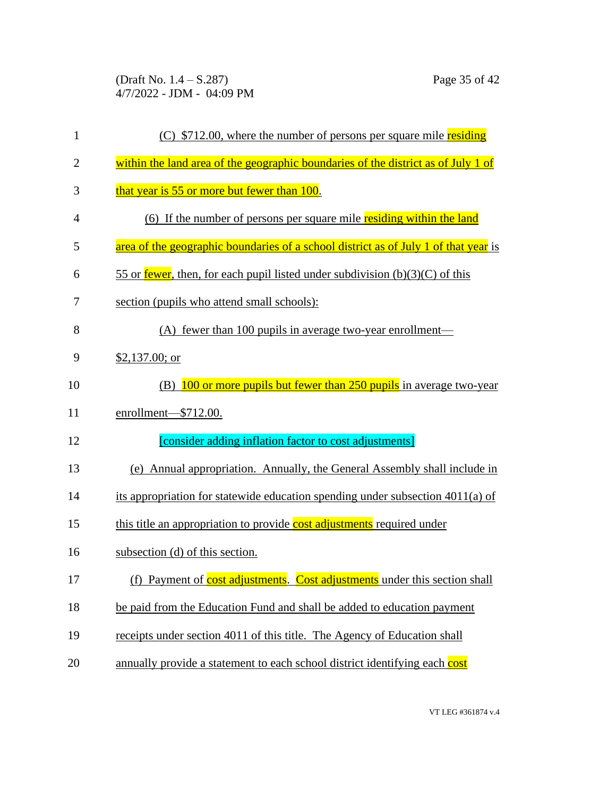(Draft No. 1.4 – S.287) Page 35 of 42 4/7/2022 - JDM - 04:09 PM

| 1              | (C) \$712.00, where the number of persons per square mile residing                  |
|----------------|-------------------------------------------------------------------------------------|
| $\overline{2}$ | within the land area of the geographic boundaries of the district as of July 1 of   |
| 3              | that year is 55 or more but fewer than 100.                                         |
| $\overline{4}$ | (6) If the number of persons per square mile residing within the land               |
| 5              | area of the geographic boundaries of a school district as of July 1 of that year is |
| 6              | 55 or fewer, then, for each pupil listed under subdivision $(b)(3)(C)$ of this      |
| 7              | section (pupils who attend small schools):                                          |
| 8              | (A) fewer than 100 pupils in average two-year enrollment—                           |
| 9              | \$2,137.00; or                                                                      |
| 10             | 100 or more pupils but fewer than 250 pupils in average two-year<br>(B)             |
| 11             | enrollment-\$712.00.                                                                |
| 12             | [consider adding inflation factor to cost adjustments]                              |
| 13             | (e) Annual appropriation. Annually, the General Assembly shall include in           |
| 14             | its appropriation for statewide education spending under subsection 4011(a) of      |
| 15             | this title an appropriation to provide cost adjustments required under              |
| 16             | subsection (d) of this section.                                                     |
| 17             | (f) Payment of cost adjustments. Cost adjustments under this section shall          |
| 18             | be paid from the Education Fund and shall be added to education payment             |
| 19             | receipts under section 4011 of this title. The Agency of Education shall            |
| 20             | annually provide a statement to each school district identifying each cost          |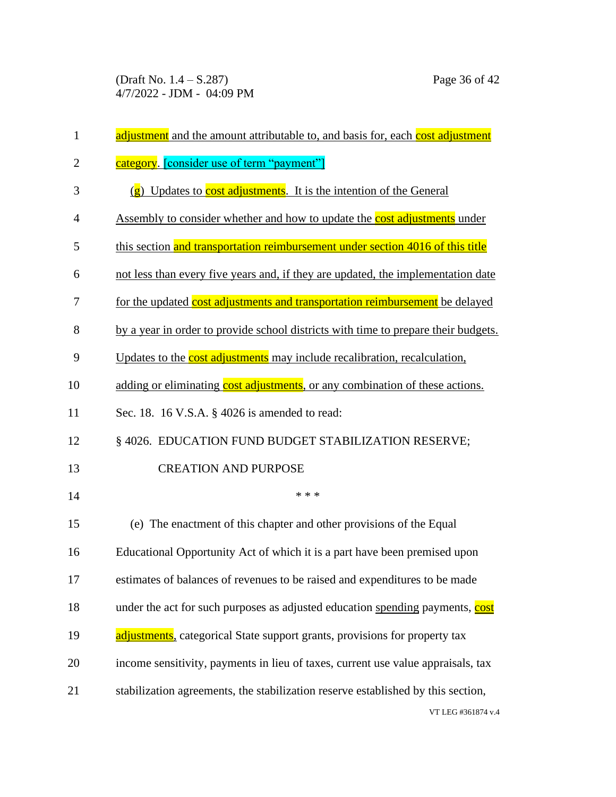(Draft No. 1.4 – S.287) Page 36 of 42 4/7/2022 - JDM - 04:09 PM

| $\mathbf{1}$   | adjustment and the amount attributable to, and basis for, each cost adjustment     |
|----------------|------------------------------------------------------------------------------------|
| $\overline{2}$ | category. [consider use of term "payment"]                                         |
| 3              | $(g)$ Updates to cost adjustments. It is the intention of the General              |
| $\overline{4}$ | Assembly to consider whether and how to update the cost adjustments under          |
| 5              | this section and transportation reimbursement under section 4016 of this title     |
| 6              | not less than every five years and, if they are updated, the implementation date   |
| 7              | for the updated cost adjustments and transportation reimbursement be delayed       |
| 8              | by a year in order to provide school districts with time to prepare their budgets. |
| 9              | Updates to the cost adjustments may include recalibration, recalculation,          |
| 10             | adding or eliminating cost adjustments, or any combination of these actions.       |
| 11             | Sec. 18. 16 V.S.A. § 4026 is amended to read:                                      |
| 12             | § 4026. EDUCATION FUND BUDGET STABILIZATION RESERVE;                               |
| 13             | <b>CREATION AND PURPOSE</b>                                                        |
| 14             | * * *                                                                              |
| 15             | (e) The enactment of this chapter and other provisions of the Equal                |
| 16             | Educational Opportunity Act of which it is a part have been premised upon          |
| 17             | estimates of balances of revenues to be raised and expenditures to be made         |
| 18             | under the act for such purposes as adjusted education spending payments, cost      |
| 19             | adjustments, categorical State support grants, provisions for property tax         |
| 20             | income sensitivity, payments in lieu of taxes, current use value appraisals, tax   |
| 21             | stabilization agreements, the stabilization reserve established by this section,   |
|                | VT LEG #361874 v.4                                                                 |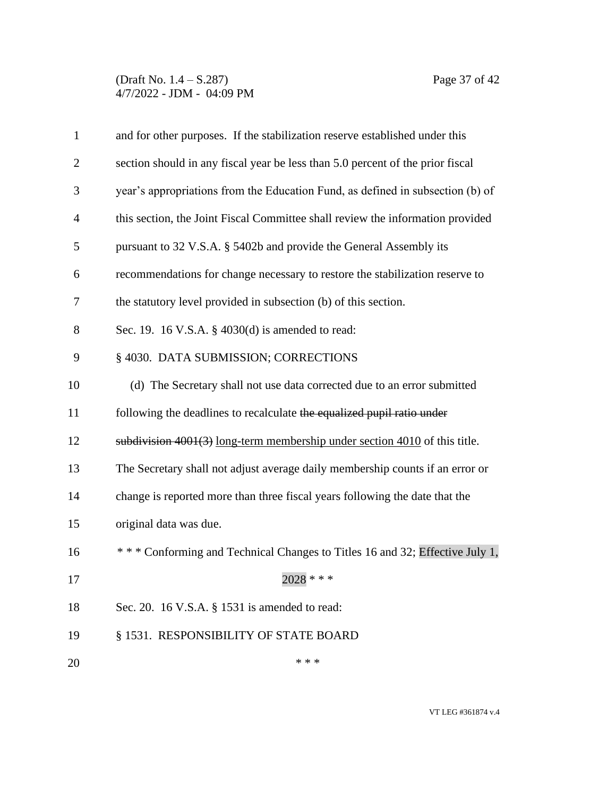### (Draft No. 1.4 – S.287) Page 37 of 42 4/7/2022 - JDM - 04:09 PM

| $\mathbf{1}$   | and for other purposes. If the stabilization reserve established under this    |  |
|----------------|--------------------------------------------------------------------------------|--|
| $\overline{2}$ | section should in any fiscal year be less than 5.0 percent of the prior fiscal |  |
| 3              | year's appropriations from the Education Fund, as defined in subsection (b) of |  |
| $\overline{4}$ | this section, the Joint Fiscal Committee shall review the information provided |  |
| 5              | pursuant to 32 V.S.A. § 5402b and provide the General Assembly its             |  |
| 6              | recommendations for change necessary to restore the stabilization reserve to   |  |
| 7              | the statutory level provided in subsection (b) of this section.                |  |
| 8              | Sec. 19. 16 V.S.A. § 4030(d) is amended to read:                               |  |
| 9              | § 4030. DATA SUBMISSION; CORRECTIONS                                           |  |
| 10             | (d) The Secretary shall not use data corrected due to an error submitted       |  |
| 11             | following the deadlines to recalculate the equalized pupil ratio under         |  |
| 12             | subdivision 4001(3) long-term membership under section 4010 of this title.     |  |
| 13             | The Secretary shall not adjust average daily membership counts if an error or  |  |
| 14             | change is reported more than three fiscal years following the date that the    |  |
| 15             | original data was due.                                                         |  |
| 16             | *** Conforming and Technical Changes to Titles 16 and 32; Effective July 1,    |  |
| 17             | $2028$ * * *                                                                   |  |
| 18             | Sec. 20. 16 V.S.A. § 1531 is amended to read:                                  |  |
| 19             | § 1531. RESPONSIBILITY OF STATE BOARD                                          |  |
| 20             | * * *                                                                          |  |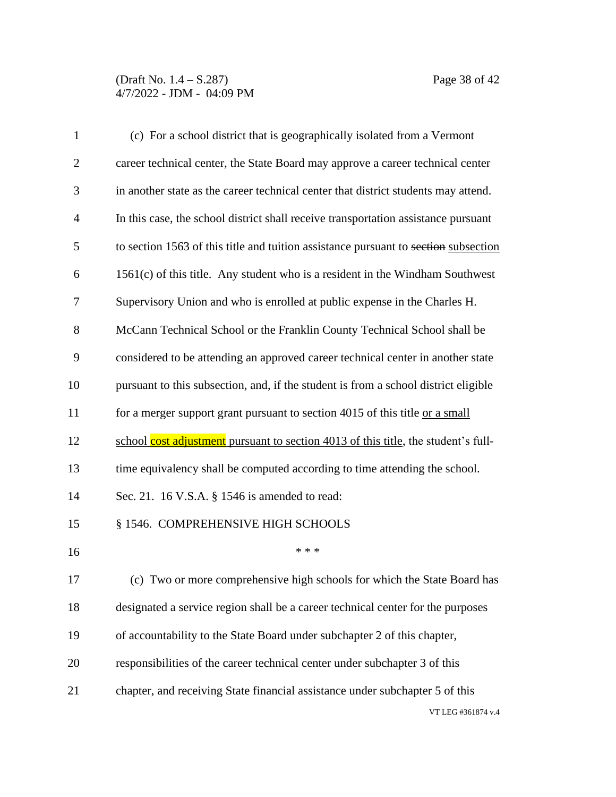### (Draft No. 1.4 – S.287) Page 38 of 42 4/7/2022 - JDM - 04:09 PM

| $\mathbf{1}$   | (c) For a school district that is geographically isolated from a Vermont            |  |
|----------------|-------------------------------------------------------------------------------------|--|
| $\overline{2}$ | career technical center, the State Board may approve a career technical center      |  |
| 3              | in another state as the career technical center that district students may attend.  |  |
| $\overline{4}$ | In this case, the school district shall receive transportation assistance pursuant  |  |
| 5              | to section 1563 of this title and tuition assistance pursuant to section subsection |  |
| 6              | $1561(c)$ of this title. Any student who is a resident in the Windham Southwest     |  |
| 7              | Supervisory Union and who is enrolled at public expense in the Charles H.           |  |
| 8              | McCann Technical School or the Franklin County Technical School shall be            |  |
| 9              | considered to be attending an approved career technical center in another state     |  |
| 10             | pursuant to this subsection, and, if the student is from a school district eligible |  |
| 11             | for a merger support grant pursuant to section 4015 of this title or a small        |  |
| 12             | school cost adjustment pursuant to section 4013 of this title, the student's full-  |  |
| 13             | time equivalency shall be computed according to time attending the school.          |  |
| 14             | Sec. 21. 16 V.S.A. § 1546 is amended to read:                                       |  |
| 15             | § 1546. COMPREHENSIVE HIGH SCHOOLS                                                  |  |
| 16             | * * *                                                                               |  |
| 17             | (c) Two or more comprehensive high schools for which the State Board has            |  |
| 18             | designated a service region shall be a career technical center for the purposes     |  |
| 19             | of accountability to the State Board under subchapter 2 of this chapter,            |  |
| 20             | responsibilities of the career technical center under subchapter 3 of this          |  |
| 21             | chapter, and receiving State financial assistance under subchapter 5 of this        |  |
|                | VT LEG #361874 v.4                                                                  |  |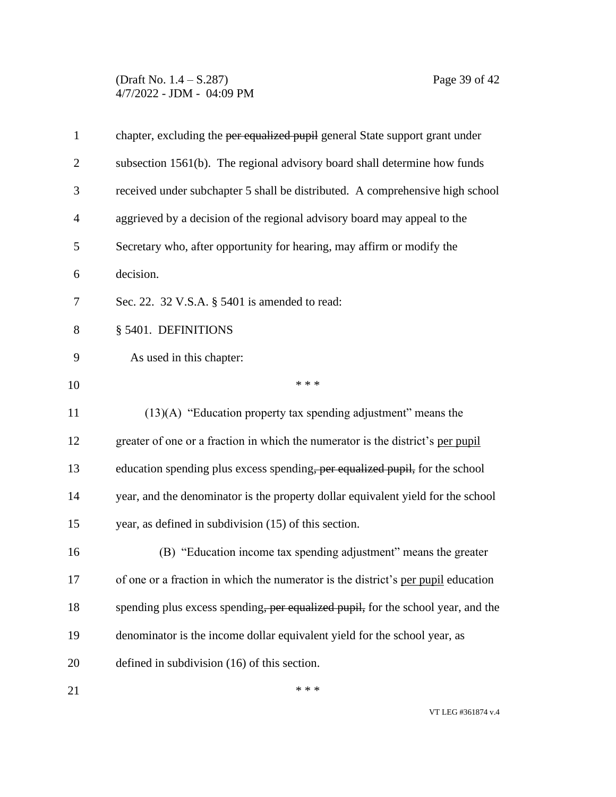(Draft No. 1.4 – S.287) Page 39 of 42 4/7/2022 - JDM - 04:09 PM

| $\mathbf{1}$   | chapter, excluding the per equalized pupil general State support grant under      |  |
|----------------|-----------------------------------------------------------------------------------|--|
| $\overline{2}$ | subsection 1561(b). The regional advisory board shall determine how funds         |  |
| 3              | received under subchapter 5 shall be distributed. A comprehensive high school     |  |
| 4              | aggrieved by a decision of the regional advisory board may appeal to the          |  |
| 5              | Secretary who, after opportunity for hearing, may affirm or modify the            |  |
| 6              | decision.                                                                         |  |
| 7              | Sec. 22. 32 V.S.A. § 5401 is amended to read:                                     |  |
| 8              | § 5401. DEFINITIONS                                                               |  |
| 9              | As used in this chapter:                                                          |  |
| 10             | * * *                                                                             |  |
| 11             | (13)(A) "Education property tax spending adjustment" means the                    |  |
| 12             | greater of one or a fraction in which the numerator is the district's per pupil   |  |
| 13             | education spending plus excess spending, per equalized pupil, for the school      |  |
| 14             | year, and the denominator is the property dollar equivalent yield for the school  |  |
| 15             | year, as defined in subdivision (15) of this section.                             |  |
| 16             | (B) "Education income tax spending adjustment" means the greater                  |  |
| 17             | of one or a fraction in which the numerator is the district's per pupil education |  |
| 18             | spending plus excess spending, per equalized pupil, for the school year, and the  |  |
| 19             | denominator is the income dollar equivalent yield for the school year, as         |  |
| 20             | defined in subdivision $(16)$ of this section.                                    |  |
| 21             | * * *                                                                             |  |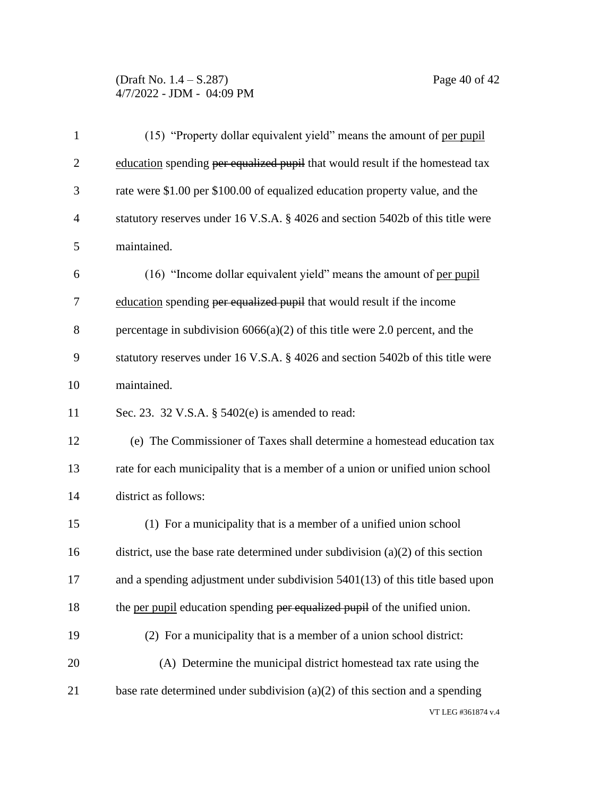### (Draft No. 1.4 – S.287) Page 40 of 42 4/7/2022 - JDM - 04:09 PM

| $\mathbf{1}$   | (15) "Property dollar equivalent yield" means the amount of per pupil             |  |
|----------------|-----------------------------------------------------------------------------------|--|
| $\overline{2}$ | education spending per equalized pupil that would result if the homestead tax     |  |
| 3              | rate were \$1.00 per \$100.00 of equalized education property value, and the      |  |
| $\overline{4}$ | statutory reserves under 16 V.S.A. § 4026 and section 5402b of this title were    |  |
| 5              | maintained.                                                                       |  |
| 6              | (16) "Income dollar equivalent yield" means the amount of per pupil               |  |
| 7              | education spending per equalized pupil that would result if the income            |  |
| 8              | percentage in subdivision $6066(a)(2)$ of this title were 2.0 percent, and the    |  |
| 9              | statutory reserves under 16 V.S.A. § 4026 and section 5402b of this title were    |  |
| 10             | maintained.                                                                       |  |
| 11             | Sec. 23. 32 V.S.A. § 5402(e) is amended to read:                                  |  |
| 12             | (e) The Commissioner of Taxes shall determine a homestead education tax           |  |
| 13             | rate for each municipality that is a member of a union or unified union school    |  |
| 14             | district as follows:                                                              |  |
| 15             | (1) For a municipality that is a member of a unified union school                 |  |
| 16             | district, use the base rate determined under subdivision $(a)(2)$ of this section |  |
| 17             | and a spending adjustment under subdivision $5401(13)$ of this title based upon   |  |
| 18             | the per pupil education spending per equalized pupil of the unified union.        |  |
| 19             | (2) For a municipality that is a member of a union school district:               |  |
| 20             | (A) Determine the municipal district homestead tax rate using the                 |  |
| 21             | base rate determined under subdivision $(a)(2)$ of this section and a spending    |  |
|                | VT LEG #361874 v.4                                                                |  |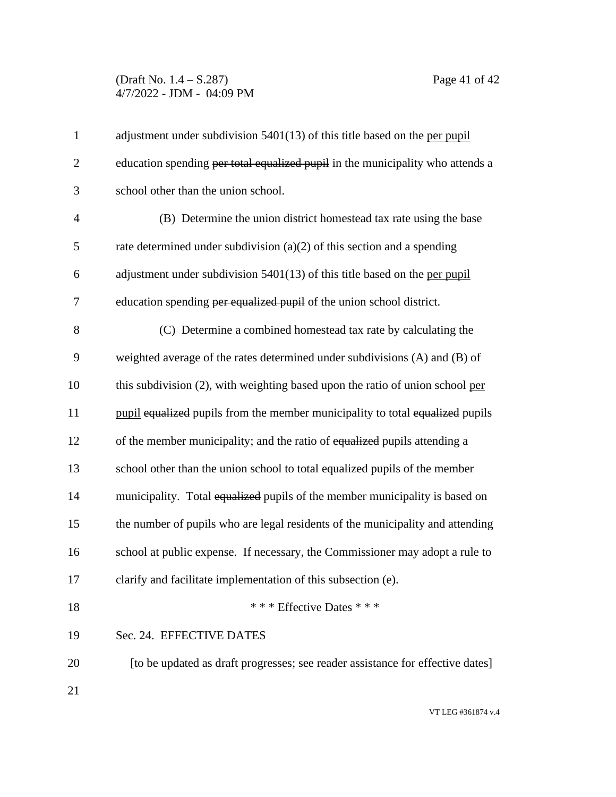### (Draft No. 1.4 – S.287) Page 41 of 42 4/7/2022 - JDM - 04:09 PM

| $\mathbf{1}$   | adjustment under subdivision 5401(13) of this title based on the per pupil     |  |
|----------------|--------------------------------------------------------------------------------|--|
| $\overline{2}$ | education spending per total equalized pupil in the municipality who attends a |  |
| 3              | school other than the union school.                                            |  |
| $\overline{4}$ | (B) Determine the union district homestead tax rate using the base             |  |
| 5              | rate determined under subdivision $(a)(2)$ of this section and a spending      |  |
| 6              | adjustment under subdivision $5401(13)$ of this title based on the per pupil   |  |
| 7              | education spending per equalized pupil of the union school district.           |  |
| 8              | (C) Determine a combined homestead tax rate by calculating the                 |  |
| 9              | weighted average of the rates determined under subdivisions (A) and (B) of     |  |
| 10             | this subdivision (2), with weighting based upon the ratio of union school per  |  |
| 11             | pupil equalized pupils from the member municipality to total equalized pupils  |  |
| 12             | of the member municipality; and the ratio of equalized pupils attending a      |  |
| 13             | school other than the union school to total equalized pupils of the member     |  |
| 14             | municipality. Total equalized pupils of the member municipality is based on    |  |
| 15             | the number of pupils who are legal residents of the municipality and attending |  |
| 16             | school at public expense. If necessary, the Commissioner may adopt a rule to   |  |
| 17             | clarify and facilitate implementation of this subsection (e).                  |  |
| 18             | *** Effective Dates ***                                                        |  |
| 19             | Sec. 24. EFFECTIVE DATES                                                       |  |
| 20             | [to be updated as draft progresses; see reader assistance for effective dates] |  |
| 21             |                                                                                |  |
|                |                                                                                |  |